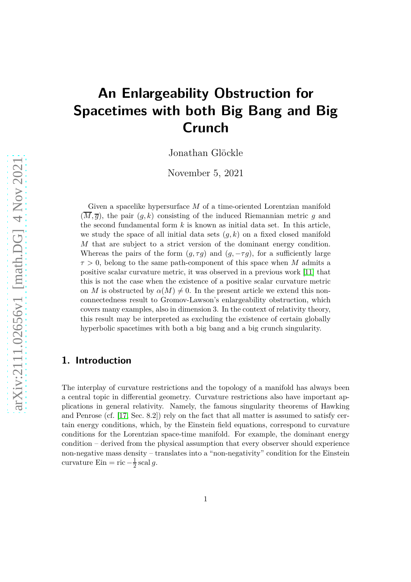# **An Enlargeability Obstruction for Spacetimes with both Big Bang and Big Crunch**

Jonathan Glöckle

November 5, 2021

Given a spacelike hypersurface *M* of a time-oriented Lorentzian manifold  $(\overline{M}, \overline{g})$ , the pair  $(g, k)$  consisting of the induced Riemannian metric *g* and the second fundamental form *k* is known as initial data set. In this article, we study the space of all initial data sets  $(q, k)$  on a fixed closed manifold *M* that are subject to a strict version of the dominant energy condition. Whereas the pairs of the form  $(q, \tau q)$  and  $(q, -\tau q)$ , for a sufficiently large *τ >* 0, belong to the same path-component of this space when *M* admits a positive scalar curvature metric, it was observed in a previous work [\[11\]](#page-26-0) that this is not the case when the existence of a positive scalar curvature metric on *M* is obstructed by  $\alpha(M) \neq 0$ . In the present article we extend this nonconnectedness result to Gromov-Lawson's enlargeability obstruction, which covers many examples, also in dimension 3. In the context of relativity theory, this result may be interpreted as excluding the existence of certain globally hyperbolic spacetimes with both a big bang and a big crunch singularity.

#### **1. Introduction**

The interplay of curvature restrictions and the topology of a manifold has always been a central topic in differential geometry. Curvature restrictions also have important applications in general relativity. Namely, the famous singularity theorems of Hawking and Penrose (cf. [\[17,](#page-26-1) Sec. 8.2]) rely on the fact that all matter is assumed to satisfy certain energy conditions, which, by the Einstein field equations, correspond to curvature conditions for the Lorentzian space-time manifold. For example, the dominant energy condition – derived from the physical assumption that every observer should experience non-negative mass density – translates into a "non-negativity" condition for the Einstein curvature Ein = ric  $-\frac{1}{2}$  $rac{1}{2}$  scal g.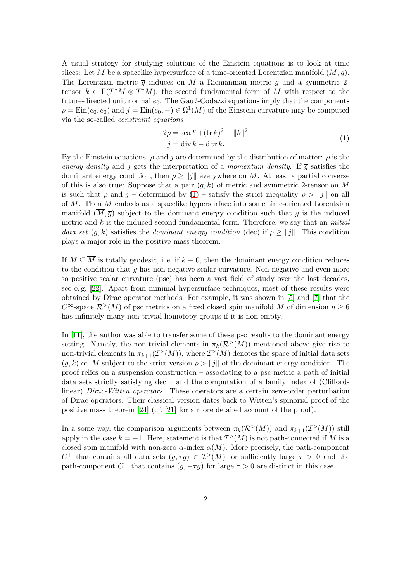A usual strategy for studying solutions of the Einstein equations is to look at time slices: Let *M* be a spacelike hypersurface of a time-oriented Lorentzian manifold  $(\overline{M}, \overline{q})$ . The Lorentzian metric  $\overline{q}$  induces on *M* a Riemannian metric *q* and a symmetric 2tensor  $k \in \Gamma(T^*M \otimes T^*M)$ , the second fundamental form of *M* with respect to the future-directed unit normal *e*0. The Gauß-Codazzi equations imply that the components  $\rho = \text{Ein}(e_0, e_0)$  and  $j = \text{Ein}(e_0, -) \in \Omega^1(M)$  of the Einstein curvature may be computed via the so-called *constraint equations*

<span id="page-1-0"></span>
$$
2\rho = \operatorname{scal}^g + (\operatorname{tr} k)^2 - ||k||^2
$$
  

$$
j = \operatorname{div} k - \operatorname{d} \operatorname{tr} k.
$$
 (1)

By the Einstein equations,  $\rho$  and *j* are determined by the distribution of matter:  $\rho$  is the *energy density* and *j* gets the interpretation of a *momentum density*. If  $\overline{q}$  satisfies the dominant energy condition, then  $\rho \ge ||j||$  everywhere on *M*. At least a partial converse of this is also true: Suppose that a pair (*g, k*) of metric and symmetric 2-tensor on *M* is such that *ρ* and *j* – determined by [\(1\)](#page-1-0) – satisfy the strict inequality  $\rho > ||j||$  on all of *M*. Then *M* embeds as a spacelike hypersurface into some time-oriented Lorentzian manifold  $(\overline{M}, \overline{q})$  subject to the dominant energy condition such that *q* is the induced metric and *k* is the induced second fundamental form. Therefore, we say that an *initial data set*  $(q, k)$  satisfies the *dominant energy condition* (dec) if  $\rho > ||q||$ . This condition plays a major role in the positive mass theorem.

If  $M \subseteq \overline{M}$  is totally geodesic, i.e. if  $k \equiv 0$ , then the dominant energy condition reduces to the condition that *g* has non-negative scalar curvature. Non-negative and even more so positive scalar curvature (psc) has been a vast field of study over the last decades, see e. g. [\[22\]](#page-27-0). Apart from minimal hypersurface techniques, most of these results were obtained by Dirac operator methods. For example, it was shown in [\[5\]](#page-25-0) and [\[7\]](#page-25-1) that the *C*∞-space  $\mathcal{R}^>(M)$  of psc metrics on a fixed closed spin manifold *M* of dimension *n* ≥ 6 has infinitely many non-trivial homotopy groups if it is non-empty.

In [\[11\]](#page-26-0), the author was able to transfer some of these psc results to the dominant energy setting. Namely, the non-trivial elements in  $\pi_k(\mathcal{R}^>(M))$  mentioned above give rise to non-trivial elements in  $\pi_{k+1}(\mathcal{I}^>(M))$ , where  $\mathcal{I}^>(M)$  denotes the space of initial data sets  $(g, k)$  on M subject to the strict version  $\rho > ||j||$  of the dominant energy condition. The proof relies on a suspension construction – associating to a psc metric a path of initial data sets strictly satisfying dec – and the computation of a family index of (Cliffordlinear) *Dirac-Witten operators*. These operators are a certain zero-order perturbation of Dirac operators. Their classical version dates back to Witten's spinorial proof of the positive mass theorem [\[24\]](#page-27-1) (cf. [\[21\]](#page-26-2) for a more detailed account of the proof).

In a some way, the comparison arguments between  $\pi_k(\mathcal{R}^>(M))$  and  $\pi_{k+1}(\mathcal{I}^>(M))$  still apply in the case  $k = -1$ . Here, statement is that  $\mathcal{I}^>(M)$  is not path-connected if *M* is a closed spin manifold with non-zero  $\alpha$ -index  $\alpha(M)$ . More precisely, the path-component *C*<sup>+</sup> that contains all data sets  $(g, \tau g) \in \mathcal{I}^>(M)$  for sufficiently large  $\tau > 0$  and the path-component  $C^-$  that contains  $(g, -\tau g)$  for large  $\tau > 0$  are distinct in this case.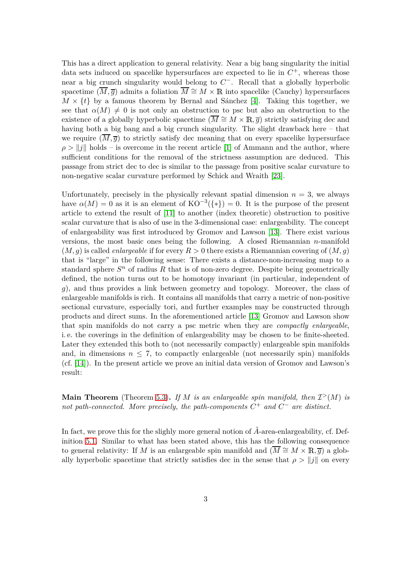This has a direct application to general relativity. Near a big bang singularity the initial data sets induced on spacelike hypersurfaces are expected to lie in  $C^+$ , whereas those near a big crunch singularity would belong to  $C$ <sup>-</sup>. Recall that a globally hyperbolic spacetime  $(\overline{M}, \overline{q})$  admits a foliation  $\overline{M} \cong M \times \mathbb{R}$  into spacelike (Cauchy) hypersurfaces  $M \times \{t\}$  by a famous theorem by Bernal and Sánchez [\[4\]](#page-25-2). Taking this together, we see that  $\alpha(M) \neq 0$  is not only an obstruction to psc but also an obstruction to the existence of a globally hyperbolic spacetime  $(\overline{M} \cong M \times \mathbb{R}, \overline{q})$  strictly satisfying dec and having both a big bang and a big crunch singularity. The slight drawback here – that we require  $(\overline{M}, \overline{g})$  to strictly satisfy dec meaning that on every spacelike hypersurface  $\rho > ||i||$  holds – is overcome in the recent article [\[1\]](#page-25-3) of Ammann and the author, where sufficient conditions for the removal of the strictness assumption are deduced. This passage from strict dec to dec is similar to the passage from positive scalar curvature to non-negative scalar curvature performed by Schick and Wraith [\[23\]](#page-27-2).

Unfortunately, precisely in the physically relevant spatial dimension  $n = 3$ , we always have  $\alpha(M) = 0$  as it is an element of  $KO^{-3}(\{*\}) = 0$ . It is the purpose of the present article to extend the result of [\[11\]](#page-26-0) to another (index theoretic) obstruction to positive scalar curvature that is also of use in the 3-dimensional case: enlargeability. The concept of enlargeability was first introduced by Gromov and Lawson [\[13\]](#page-26-3). There exist various versions, the most basic ones being the following. A closed Riemannian *n*-manifold  $(M, g)$  is called *enlargeable* if for every  $R > 0$  there exists a Riemannian covering of  $(M, g)$ that is "large" in the following sense: There exists a distance-non-increasing map to a standard sphere  $S<sup>n</sup>$  of radius  $R$  that is of non-zero degree. Despite being geometrically defined, the notion turns out to be homotopy invariant (in particular, independent of *g*), and thus provides a link between geometry and topology. Moreover, the class of enlargeable manifolds is rich. It contains all manifolds that carry a metric of non-positive sectional curvature, especially tori, and further examples may be constructed through products and direct sums. In the aforementioned article [\[13\]](#page-26-3) Gromov and Lawson show that spin manifolds do not carry a psc metric when they are *compactly enlargeable*, i. e. the coverings in the definition of enlargeability may be chosen to be finite-sheeted. Later they extended this both to (not necessarily compactly) enlargeable spin manifolds and, in dimensions  $n \leq 7$ , to compactly enlargeable (not necessarily spin) manifolds (cf. [\[14\]](#page-26-4)). In the present article we prove an initial data version of Gromov and Lawson's result:

**Main Theorem** (Theorem [5.3\)](#page-23-0). If *M* is an enlargeable spin manifold, then  $\mathcal{I}^>(M)$  is *not path-connected.* More precisely, the path-components  $C^+$  and  $C^-$  are distinct.

In fact, we prove this for the slighly more general notion of  $\hat{A}$ -area-enlargeability, cf. Definition [5.1.](#page-21-0) Similar to what has been stated above, this has the following consequence to general relativity: If *M* is an enlargeable spin manifold and  $(\overline{M} \cong M \times \mathbb{R}, \overline{g})$  a globally hyperbolic spacetime that strictly satisfies dec in the sense that  $\rho > ||j||$  on every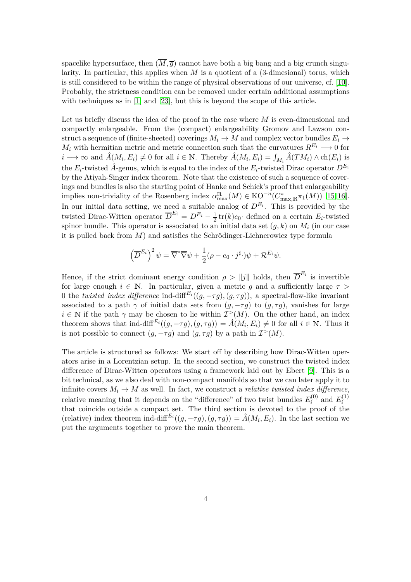spacelike hypersurface, then  $(\overline{M}, \overline{g})$  cannot have both a big bang and a big crunch singularity. In particular, this applies when  $M$  is a quotient of a  $(3$ -dimesional) torus, which is still considered to be within the range of physical observations of our universe, cf. [\[10\]](#page-26-5). Probably, the strictness condition can be removed under certain additional assumptions with techniques as in [\[1\]](#page-25-3) and [\[23\]](#page-27-2), but this is beyond the scope of this article.

Let us briefly discuss the idea of the proof in the case where *M* is even-dimensional and compactly enlargeable. From the (compact) enlargeability Gromov and Lawson construct a sequence of (finite-sheeted) coverings  $M_i \to M$  and complex vector bundles  $E_i \to$ *M*<sup>*i*</sup> with hermitian metric and metric connection such that the curvatures  $R^{E_i} \longrightarrow 0$  for *i* → ∞ and  $\hat{A}(M_i, E_i) \neq 0$  for all  $i \in \mathbb{N}$ . Thereby  $\hat{A}(M_i, E_i) = \int_{M_i} \hat{A}(TM_i) \wedge ch(E_i)$  is the  $E_i$ -twisted  $\hat{A}$ -genus, which is equal to the index of the  $E_i$ -twisted Dirac operator  $D^{E_i}$ by the Atiyah-Singer index theorem. Note that the existence of such a sequence of coverings and bundles is also the starting point of Hanke and Schick's proof that enlargeability implies non-triviality of the Rosenberg index  $\alpha_{\max}^{R}(M) \in KO^{-n}(C_{\max,R}^*\pi_1(M))$  [\[15,](#page-26-6) [16\]](#page-26-7). In our initial data setting, we need a suitable analog of  $D^{E_i}$ . This is provided by the twisted Dirac-Witten operator  $\overline{D}^{E_i} = D^{E_i} - \frac{1}{2} \text{tr}(k) e_0$ · defined on a certain  $E_i$ -twisted spinor bundle. This operator is associated to an initial data set (*g, k*) on *M<sup>i</sup>* (in our case it is pulled back from *M*) and satisfies the Schrödinger-Lichnerowicz type formula

$$
\left(\overline{D}^{E_i}\right)^2 \psi = \overline{\nabla}^* \overline{\nabla} \psi + \frac{1}{2} (\rho - e_0 \cdot j^{\sharp} \cdot) \psi + \mathcal{R}^{E_i} \psi.
$$

Hence, if the strict dominant energy condition  $\rho > ||j||$  holds, then  $\overline{D}^{E_i}$  is invertible for large enough  $i \in \mathbb{N}$ . In particular, given a metric q and a sufficiently large  $\tau >$ 0 the *twisted index difference* ind-diff<sup> $E_i$ </sup>( $(g, -\tau g)$ ,  $(g, \tau g)$ ), a spectral-flow-like invariant associated to a path  $\gamma$  of initial data sets from  $(g, -\tau g)$  to  $(g, \tau g)$ , vanishes for large  $i \in \mathbb{N}$  if the path  $\gamma$  may be chosen to lie within  $\mathcal{I}^>(M)$ . On the other hand, an index theorem shows that ind-diff<sup> $E_i((g, -\tau g), (g, \tau g)) = \hat{A}(M_i, E_i) \neq 0$  for all  $i \in \mathbb{N}$ . Thus it</sup> is not possible to connect  $(g, -\tau g)$  and  $(g, \tau g)$  by a path in  $\mathcal{I}^>(M)$ .

The article is structured as follows: We start off by describing how Dirac-Witten operators arise in a Lorentzian setup. In the second section, we construct the twisted index difference of Dirac-Witten operators using a framework laid out by Ebert [\[9\]](#page-26-8). This is a bit technical, as we also deal with non-compact manifolds so that we can later apply it to infinite covers  $M_i \to M$  as well. In fact, we construct a *relative twisted index difference*, relative meaning that it depends on the "difference" of two twist bundles  $E_i^{(0)}$  $E_i^{(0)}$  and  $E_i^{(1)}$ *i* that coincide outside a compact set. The third section is devoted to the proof of the (relative) index theorem ind-diff<sup> $E_i((g, -\tau g), (g, \tau g)) = \hat{A}(M_i, E_i)$ . In the last section we</sup> put the arguments together to prove the main theorem.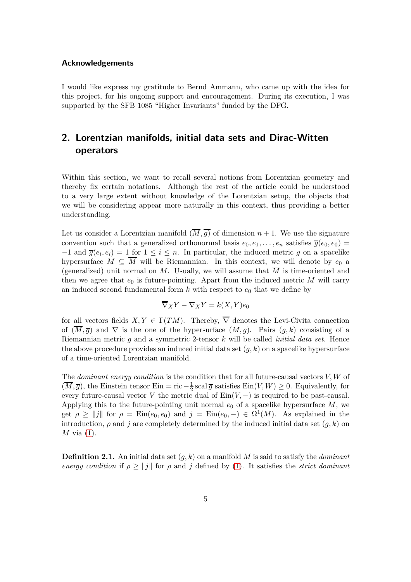#### **Acknowledgements**

I would like express my gratitude to Bernd Ammann, who came up with the idea for this project, for his ongoing support and encouragement. During its execution, I was supported by the SFB 1085 "Higher Invariants" funded by the DFG.

## **2. Lorentzian manifolds, initial data sets and Dirac-Witten operators**

Within this section, we want to recall several notions from Lorentzian geometry and thereby fix certain notations. Although the rest of the article could be understood to a very large extent without knowledge of the Lorentzian setup, the objects that we will be considering appear more naturally in this context, thus providing a better understanding.

Let us consider a Lorentzian manifold  $(\overline{M}, \overline{g})$  of dimension  $n + 1$ . We use the signature convention such that a generalized orthonormal basis  $e_0, e_1, \ldots, e_n$  satisfies  $\overline{g}(e_0, e_0)$  $-1$  and  $\overline{g}(e_i, e_i) = 1$  for  $1 \leq i \leq n$ . In particular, the induced metric *g* on a spacelike hypersurface  $M \subseteq \overline{M}$  will be Riemannian. In this context, we will denote by  $e_0$  a (generalized) unit normal on M. Usually, we will assume that  $\overline{M}$  is time-oriented and then we agree that  $e_0$  is future-pointing. Apart from the induced metric  $M$  will carry an induced second fundamental form  $k$  with respect to  $e_0$  that we define by

$$
\overline{\nabla}_X Y - \nabla_X Y = k(X, Y)e_0
$$

for all vectors fields  $X, Y \in \Gamma(TM)$ . Thereby,  $\overline{\nabla}$  denotes the Levi-Civita connection of  $(\overline{M}, \overline{g})$  and  $\nabla$  is the one of the hypersurface  $(M, g)$ . Pairs  $(g, k)$  consisting of a Riemannian metric *g* and a symmetric 2-tensor *k* will be called *initial data set*. Hence the above procedure provides an induced initial data set (*g, k*) on a spacelike hypersurface of a time-oriented Lorentzian manifold.

The *dominant energy condition* is the condition that for all future-causal vectors *V, W* of  $(\overline{M}, \overline{g})$ , the Einstein tensor Ein = ric  $-\frac{1}{2}$  scal  $\overline{g}$  satisfies Ein $(V, W) \geq 0$ . Equivalently, for every future-causal vector *V* the metric dual of  $\text{Ein}(V, -)$  is required to be past-causal. Applying this to the future-pointing unit normal  $e_0$  of a spacelike hypersurface M, we get  $\rho \ge ||j||$  for  $\rho = \text{Ein}(e_0, e_0)$  and  $j = \text{Ein}(e_0, -) \in \Omega^1(M)$ . As explained in the introduction,  $\rho$  and *j* are completely determined by the induced initial data set  $(q, k)$  on *M* via [\(1\)](#page-1-0).

<span id="page-4-0"></span>**Definition 2.1.** An initial data set (*g, k*) on a manifold *M* is said to satisfy the *dominant energy condition* if  $\rho \ge ||j||$  for  $\rho$  and *j* defined by [\(1\)](#page-1-0). It satisfies the *strict dominant*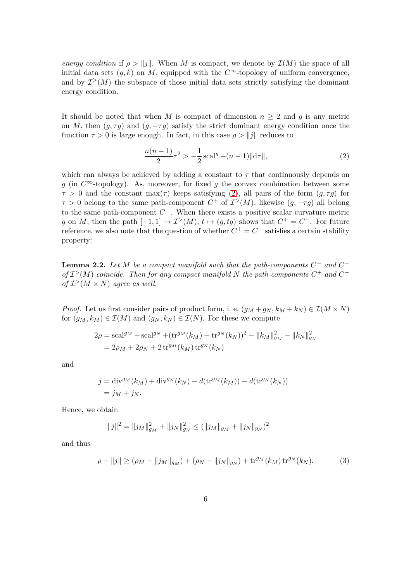*energy condition* if  $\rho > ||\mathbf{i}||$ . When *M* is compact, we denote by  $\mathcal{I}(M)$  the space of all initial data sets  $(g, k)$  on *M*, equipped with the  $C^{\infty}$ -topology of uniform convergence, and by  $\mathcal{I}^>(M)$  the subspace of those initial data sets strictly satisfying the dominant energy condition.

It should be noted that when *M* is compact of dimension  $n \geq 2$  and *g* is any metric on *M*, then  $(q, \tau q)$  and  $(q, -\tau q)$  satisfy the strict dominant energy condition once the function  $\tau > 0$  is large enough. In fact, in this case  $\rho > ||j||$  reduces to

<span id="page-5-0"></span>
$$
\frac{n(n-1)}{2}\tau^2 > -\frac{1}{2}\,\text{scal}^g + (n-1)\|\text{d}\tau\|,\tag{2}
$$

which can always be achieved by adding a constant to  $\tau$  that continuously depends on *g* (in  $C^{\infty}$ -topology). As, moreover, for fixed *g* the convex combination between some  $\tau > 0$  and the constant max( $\tau$ ) keeps satisfying [\(2\)](#page-5-0), all pairs of the form  $(q, \tau q)$  for  $\tau > 0$  belong to the same path-component  $C^+$  of  $\mathcal{I}^>(M)$ , likewise  $(g, -\tau g)$  all belong to the same path-component *C* <sup>−</sup>. When there exists a positive scalar curvature metric *g* on *M*, then the path  $[-1, 1] \rightarrow \mathcal{I}^>(M)$ ,  $t \mapsto (g, tg)$  shows that  $C^+ = C^-$ . For future reference, we also note that the question of whether  $C^+ = C^-$  satisfies a certain stability property:

<span id="page-5-2"></span>**Lemma 2.2.** Let M be a compact manifold such that the path-components  $C^+$  and  $C^$  $of$   $\mathcal{I}$ <sup>></sup>( $M$ ) *coincide. Then for any compact manifold*  $N$  *the path-components*  $C^+$  *and*  $C^$ *of*  $\mathcal{I}^>(M \times N)$  *agree as well.* 

*Proof.* Let us first consider pairs of product form, i. e.  $(g_M + g_N, k_M + k_N) \in I(M \times N)$ for  $(g_M, k_M) \in \mathcal{I}(M)$  and  $(g_N, k_N) \in \mathcal{I}(N)$ . For these we compute

$$
2\rho = \text{scal}^{g_M} + \text{scal}^{g_N} + (\text{tr}^{g_M}(k_M) + \text{tr}^{g_N}(k_N))^2 - ||k_M||_{g_M}^2 - ||k_N||_{g_N}^2
$$
  
=  $2\rho_M + 2\rho_N + 2\text{tr}^{g_M}(k_M)\text{tr}^{g_N}(k_N)$ 

and

$$
j = \text{div}^{g_M}(k_M) + \text{div}^{g_N}(k_N) - d(\text{tr}^{g_M}(k_M)) - d(\text{tr}^{g_N}(k_N))
$$
  
=  $j_M + j_N$ .

Hence, we obtain

<span id="page-5-1"></span>
$$
||j||^2 = ||j_M||_{g_M}^2 + ||j_N||_{g_N}^2 \le (||j_M||_{g_M} + ||j_N||_{g_N})^2
$$

and thus

$$
\rho - \|j\| \ge (\rho_M - \|j_M\|_{g_M}) + (\rho_N - \|j_N\|_{g_N}) + \operatorname{tr}^{g_M}(k_M) \operatorname{tr}^{g_N}(k_N). \tag{3}
$$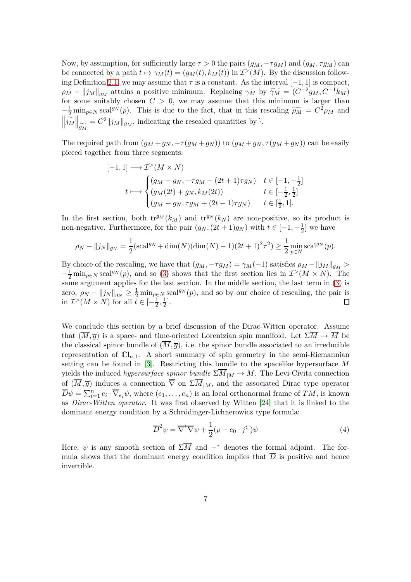Now, by assumption, for sufficiently large  $\tau > 0$  the pairs  $(g_M, -\tau g_M)$  and  $(g_M, \tau g_M)$  can be connected by a path  $t \mapsto \gamma_M(t) = (g_M(t), k_M(t))$  in  $\mathcal{I}^>(M)$ . By the discussion follow-ing Definition [2.1,](#page-4-0) we may assume that  $\tau$  is a constant. As the interval  $[-1, 1]$  is compact,  $\rho_M - ||j_M||_{g_M}$  attains a positive minimum. Replacing  $\gamma_M$  by  $\widetilde{\gamma_M} = (C^{-2}g_M, C^{-1}k_M)$ for some suitably chosen  $C > 0$ , we may assume that this minimum is larger than  $-\frac{1}{2}$  min<sub>*p*∈*N*</sub> scal<sup>g*N*</sup> (*p*). This is due to the fact, that in this rescaling  $\widetilde{\rho_M} = C^2 \rho_M$  and  $\left\| \frac{\tilde{\tilde{j}}_M}{\tilde{j}_M} \right\|_{\widetilde{g_M}}$  $= C^2 ||j_M||_{g_M}$ , indicating the rescaled quantities by  $\tilde{\cdot}$ .

The required path from  $(g_M + g_N, -\tau(g_M + g_N))$  to  $(g_M + g_N, \tau(g_M + g_N))$  can be easily pieced together from three segments:

$$
[-1, 1] \longrightarrow \mathcal{I}^{>}(M \times N)
$$
  
\n
$$
t \longmapsto \begin{cases} (g_M + g_N, -\tau g_M + (2t+1)\tau g_N) & t \in [-1, -\frac{1}{2}] \\ (g_M(2t) + g_N, k_M(2t)) & t \in [-\frac{1}{2}, \frac{1}{2}] \\ (g_M + g_N, \tau g_M + (2t-1)\tau g_N) & t \in [\frac{1}{2}, 1]. \end{cases}
$$

In the first section, both  $tr^{g_M}(k_M)$  and  $tr^{g_N}(k_N)$  are non-positive, so its product is non-negative. Furthermore, for the pair  $(g_N, (2t+1)g_N)$  with  $t \in [-1, -\frac{1}{2}]$  we have

$$
\rho_N - ||j_N||_{g_N} = \frac{1}{2} (\text{scal}^{g_N} + \dim(N)(\dim(N) - 1)(2t + 1)^2 \tau^2) \ge \frac{1}{2} \min_{p \in N} \text{scal}^{g_N}(p).
$$

By choice of the rescaling, we have that  $(g_M, -\tau g_M) = \gamma_M(-1)$  satisfies  $\rho_M - ||j_M||_{g_M} >$  $-\frac{1}{2}$  min<sub>*p*∈*N*</sub> scal<sup>g*N*</sup>(*p*), and so [\(3\)](#page-5-1) shows that the first section lies in  $\mathcal{I}^>(M \times N)$ . The same argument applies for the last section. In the middle section, the last term in [\(3\)](#page-5-1) is zero,  $\rho_N - ||j_N||_{g_N} \geq \frac{1}{2} \min_{p \in N} \text{scal}^{g_N}(p)$ , and so by our choice of rescaling, the pair is in  $\mathcal{I}^>(M \times N)$  for all  $\tilde{t} \in [-\frac{1}{2}]$  $\frac{1}{2}, \frac{1}{2}$  $\frac{1}{2}$ .  $\Box$ 

We conclude this section by a brief discussion of the Dirac-Witten operator. Assume that  $(\overline{M}, \overline{g})$  is a space- and time-oriented Lorentzian spin manifold. Let  $\Sigma \overline{M} \to \overline{M}$  be the classical spinor bundle of  $(\overline{M}, \overline{g})$ , i.e. the spinor bundle associated to an irreducible representation of  $\mathbb{C}l_{n,1}$ . A short summary of spin geometry in the semi-Riemannian setting can be found in [\[3\]](#page-25-4). Restricting this bundle to the spacelike hypersurface *M* yields the induced *hypersurface spinor bundle*  $\Sigma \overline{M}_{|M} \to M$ . The Levi-Civita connection of  $(\overline{M}, \overline{g})$  induces a connection  $\overline{\nabla}$  on  $\Sigma \overline{M}_{|M}$ , and the associated Dirac type operator  $\overline{D}\psi = \sum_{i=1}^n e_i \cdot \overline{\nabla}_{e_i} \psi$ , where  $(e_1, \ldots, e_n)$  is an local orthonormal frame of *TM*, is known as *Dirac-Witten operator*. It was first observed by Witten [\[24\]](#page-27-1) that it is linked to the dominant energy condition by a Schrödinger-Lichnerowicz type formula:

<span id="page-6-0"></span>
$$
\overline{D}^2 \psi = \overline{\nabla}^* \overline{\nabla} \psi + \frac{1}{2} (\rho - e_0 \cdot j^\sharp \cdot) \psi \tag{4}
$$

Here,  $\psi$  is any smooth section of  $\Sigma \overline{M}$  and  $-$ <sup>\*</sup> denotes the formal adjoint. The formula shows that the dominant energy condition implies that  $\overline{D}$  is positive and hence invertible.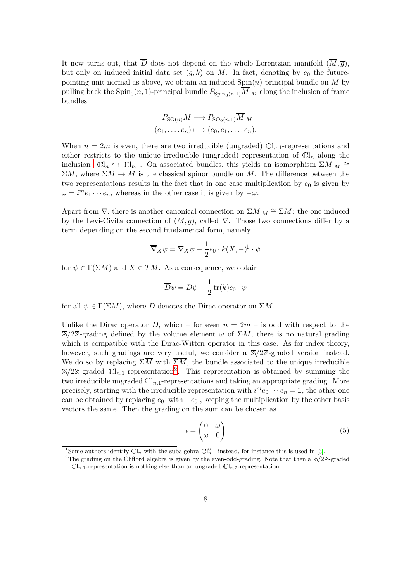It now turns out, that  $\overline{D}$  does not depend on the whole Lorentzian manifold  $(\overline{M}, \overline{g})$ , but only on induced initial data set  $(q, k)$  on *M*. In fact, denoting by  $e_0$  the futurepointing unit normal as above, we obtain an induced Spin(*n*)-principal bundle on *M* by pulling back the  $\text{Spin}_0(n,1)$ -principal bundle  $P_{\text{Spin}_0(n,1)}M_{|M}$  along the inclusion of frame bundles

$$
P_{\mathrm{SO}(n)}M \longrightarrow P_{\mathrm{SO}_0(n,1)}\overline{M}_{|M}
$$

$$
(e_1,\ldots,e_n) \longmapsto (e_0,e_1,\ldots,e_n).
$$

When  $n = 2m$  is even, there are two irreducible (ungraded)  $\mathbb{C}I_{n,1}$ -representations and either restricts to the unique irreducible (ungraded) representation of  $\mathbb{C}l_n$  along the inclusion<sup>[1](#page-7-0)</sup>  $\mathbb{C}l_n \hookrightarrow \mathbb{C}l_{n,1}$ . On associated bundles, this yields an isomorphism  $\Sigma \overline{M}_{|M} \cong$  $\Sigma M$ , where  $\Sigma M \to M$  is the classical spinor bundle on *M*. The difference between the two representations results in the fact that in one case multiplication by  $e_0$  is given by  $\omega = i^m e_1 \cdots e_n$ , whereas in the other case it is given by  $-\omega$ .

Apart from  $\nabla$ , there is another canonical connection on  $\Sigma M_{|M} \cong \Sigma M$ : the one induced by the Levi-Civita connection of  $(M, g)$ , called  $\nabla$ . Those two connections differ by a term depending on the second fundamental form, namely

$$
\overline{\nabla}_X \psi = \nabla_X \psi - \frac{1}{2} e_0 \cdot k(X, -)^\sharp \cdot \psi
$$

for  $\psi \in \Gamma(\Sigma M)$  and  $X \in TM$ . As a consequence, we obtain

$$
\overline{D}\psi = D\psi - \frac{1}{2}\operatorname{tr}(k)e_0 \cdot \psi
$$

for all  $\psi \in \Gamma(\Sigma M)$ , where *D* denotes the Dirac operator on  $\Sigma M$ .

Unlike the Dirac operator *D*, which – for even  $n = 2m$  – is odd with respect to the  $\mathbb{Z}/2\mathbb{Z}$ -grading defined by the volume element  $\omega$  of  $\Sigma M$ , there is no natural grading which is compatible with the Dirac-Witten operator in this case. As for index theory, however, such gradings are very useful, we consider a  $\mathbb{Z}/2\mathbb{Z}$ -graded version instead. We do so by replacing  $\Sigma \overline{M}$  with  $\overline{\Sigma M}$ , the bundle associated to the unique irreducible  $\mathbb{Z}/2\mathbb{Z}$  $\mathbb{Z}/2\mathbb{Z}$  $\mathbb{Z}/2\mathbb{Z}$ -graded  $\mathbb{C}I_{n,1}$ -representation<sup>2</sup>. This representation is obtained by summing the two irreducible ungraded <sup>C</sup>l*n,*1-representations and taking an appropriate grading. More precisely, starting with the irreducible representation with  $i^m e_0 \cdots e_n = \mathbb{1}$ , the other one can be obtained by replacing  $e_0$ · with  $-e_0$ ·, keeping the multiplication by the other basis vectors the same. Then the grading on the sum can be chosen as

<span id="page-7-2"></span>
$$
u = \begin{pmatrix} 0 & \omega \\ \omega & 0 \end{pmatrix} \tag{5}
$$

<sup>&</sup>lt;sup>1</sup>Some authors identify  $\mathbb{C}l_n$  with the subalgebra  $\mathbb{C}l_{n,1}^0$  instead, for instance this is used in [\[3\]](#page-25-4).

<span id="page-7-1"></span><span id="page-7-0"></span><sup>&</sup>lt;sup>2</sup>The grading on the Clifford algebra is given by the even-odd-grading. Note that then a  $\mathbb{Z}/2\mathbb{Z}$ -graded  $\mathbb{C} \mathbb{I}_{n,1}$ -representation is nothing else than an ungraded  $\mathbb{C} \mathbb{I}_{n,2}$ -representation.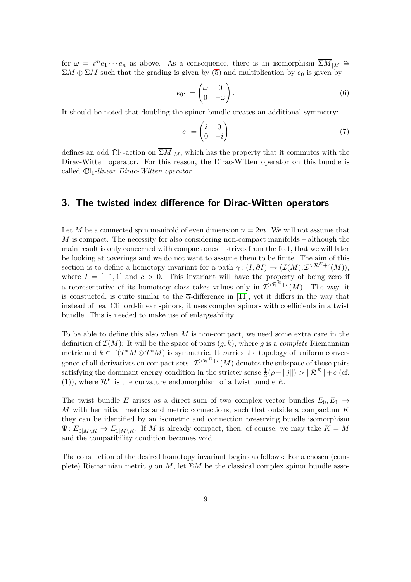for  $\omega = i^m e_1 \cdots e_n$  as above. As a consequence, there is an isomorphism  $\overline{\Sigma M}_{|M} \cong$  $\Sigma M \oplus \Sigma M$  such that the grading is given by [\(5\)](#page-7-2) and multiplication by  $e_0$  is given by

<span id="page-8-1"></span>
$$
e_0 \cdot = \begin{pmatrix} \omega & 0 \\ 0 & -\omega \end{pmatrix} . \tag{6}
$$

It should be noted that doubling the spinor bundle creates an additional symmetry:

<span id="page-8-0"></span>
$$
c_1 = \begin{pmatrix} i & 0 \\ 0 & -i \end{pmatrix} \tag{7}
$$

defines an odd  $\mathbb{C}I_1$ -action on  $\overline{\Sigma M}_{|M}$ , which has the property that it commutes with the Dirac-Witten operator. For this reason, the Dirac-Witten operator on this bundle is called <sup>C</sup>l1*-linear Dirac-Witten operator*.

#### **3. The twisted index difference for Dirac-Witten operators**

Let *M* be a connected spin manifold of even dimension  $n = 2m$ . We will not assume that *M* is compact. The necessity for also considering non-compact manifolds – although the main result is only concerned with compact ones – strives from the fact, that we will later be looking at coverings and we do not want to assume them to be finite. The aim of this section is to define a homotopy invariant for a path  $\gamma$ :  $(I, \partial I) \to (\mathcal{I}(M), \mathcal{I}^{> \mathcal{R}^E + c}(M)),$ where  $I = [-1, 1]$  and  $c > 0$ . This invariant will have the property of being zero if a representative of its homotopy class takes values only in  $\mathcal{I}^{>R^E+c}(M)$ . The way, it is constucted, is quite similar to the  $\overline{\alpha}$ -difference in [\[11\]](#page-26-0), yet it differs in the way that instead of real Clifford-linear spinors, it uses complex spinors with coefficients in a twist bundle. This is needed to make use of enlargeability.

To be able to define this also when *M* is non-compact, we need some extra care in the definition of  $\mathcal{I}(M)$ : It will be the space of pairs  $(g, k)$ , where g is a *complete* Riemannian metric and  $k \in \Gamma(T^*M \otimes T^*M)$  is symmetric. It carries the topology of uniform convergence of all derivatives on compact sets.  $\mathcal{I}^{\geq \mathcal{R}^E + c}(M)$  denotes the subspace of those pairs satisfying the dominant energy condition in the stricter sense  $\frac{1}{2}(\rho - ||j||) > ||\mathcal{R}^E|| + c$  (cf. [\(1\)](#page-1-0)), where  $\mathcal{R}^E$  is the curvature endomorphism of a twist bundle E.

The twist bundle *E* arises as a direct sum of two complex vector bundles  $E_0, E_1 \rightarrow$ *M* with hermitian metrics and metric connections, such that outside a compactum *K* they can be identified by an isometric and connection preserving bundle isomorphism  $\Psi: E_{0|M\setminus K} \to E_{1|M\setminus K}$ . If *M* is already compact, then, of course, we may take  $K = M$ and the compatibility condition becomes void.

The constuction of the desired homotopy invariant begins as follows: For a chosen (complete) Riemannian metric *q* on *M*, let  $\Sigma M$  be the classical complex spinor bundle asso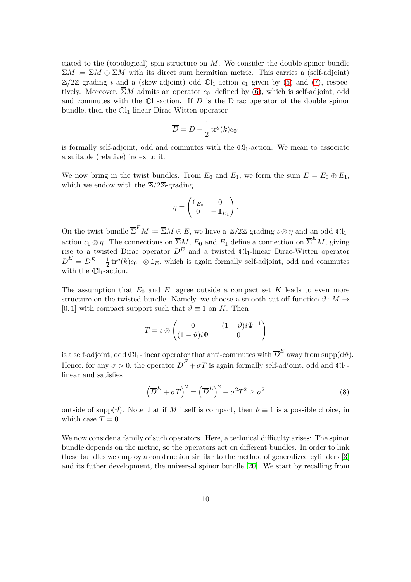ciated to the (topological) spin structure on *M*. We consider the double spinor bundle  $\overline{\Sigma}M \coloneqq \Sigma M \oplus \Sigma M$  with its direct sum hermitian metric. This carries a (self-adjoint)  $\mathbb{Z}/2\mathbb{Z}$ -grading *ι* and a (skew-adjoint) odd  $\mathbb{C}l_1$ -action  $c_1$  given by [\(5\)](#page-7-2) and [\(7\)](#page-8-0), respectively. Moreover,  $\overline{\Sigma}M$  admits an operator  $e_0$  defined by [\(6\)](#page-8-1), which is self-adjoint, odd and commutes with the  $\mathbb{C}l_1$ -action. If *D* is the Dirac operator of the double spinor bundle, then the  $\mathbb{C}l_1$ -linear Dirac-Witten operator

$$
\overline{D} = D - \frac{1}{2} \operatorname{tr}^g(k) e_0.
$$

is formally self-adjoint, odd and commutes with the  $\mathbb{C}l_1$ -action. We mean to associate a suitable (relative) index to it.

We now bring in the twist bundles. From  $E_0$  and  $E_1$ , we form the sum  $E = E_0 \oplus E_1$ , which we endow with the  $\mathbb{Z}/2\mathbb{Z}$ -grading

$$
\eta = \begin{pmatrix} \mathbb{1}_{E_0} & 0 \\ 0 & -\mathbb{1}_{E_1} \end{pmatrix}.
$$

On the twist bundle  $\overline{\Sigma}^E M := \overline{\Sigma}M \otimes E$ , we have a  $\mathbb{Z}/2\mathbb{Z}$ -grading  $\iota \otimes \eta$  and an odd  $\mathbb{C}l_1$ action  $c_1 \otimes \eta$ . The connections on  $\overline{\Sigma}_M^M$ ,  $E_0$  and  $E_1$  define a connection on  $\overline{\Sigma}^E M$ , giving rise to a twisted Dirac operator  $D^E$  and a twisted  $\mathbb{C}l_1$ -linear Dirac-Witten operator  $\overline{D}^E = D^E - \frac{1}{2} \text{tr}^g(k) e_0 \cdot \otimes \mathbb{1}_E$ , which is again formally self-adjoint, odd and commutes with the  $\mathbb{C}$ l<sub>1</sub>-action.

The assumption that  $E_0$  and  $E_1$  agree outside a compact set  $K$  leads to even more structure on the twisted bundle. Namely, we choose a smooth cut-off function  $\vartheta: M \to$ [0, 1] with compact support such that  $\vartheta \equiv 1$  on *K*. Then

$$
T = \iota \otimes \begin{pmatrix} 0 & -(1-\vartheta)i\Psi^{-1} \\ (1-\vartheta)i\Psi & 0 \end{pmatrix}
$$

is a self-adjoint, odd  $\mathbb{C} \mathbf{l}_1$ -linear operator that anti-commutes with  $\overline{D}^E$  away from  $\mathrm{supp}(\mathrm{d}\vartheta).$ Hence, for any  $\sigma > 0$ , the operator  $\overline{D}^E + \sigma T$  is again formally self-adjoint, odd and  $\mathbb{C}l_1$ linear and satisfies

$$
\left(\overline{D}^{E} + \sigma T\right)^{2} = \left(\overline{D}^{E}\right)^{2} + \sigma^{2}T^{2} \ge \sigma^{2}
$$
\n(8)

outside of supp( $\vartheta$ ). Note that if *M* itself is compact, then  $\vartheta \equiv 1$  is a possible choice, in which case  $T = 0$ .

We now consider a family of such operators. Here, a technical difficulty arises: The spinor bundle depends on the metric, so the operators act on different bundles. In order to link these bundles we employ a construction similar to the method of generalized cylinders [\[3\]](#page-25-4) and its futher development, the universal spinor bundle [\[20\]](#page-26-9). We start by recalling from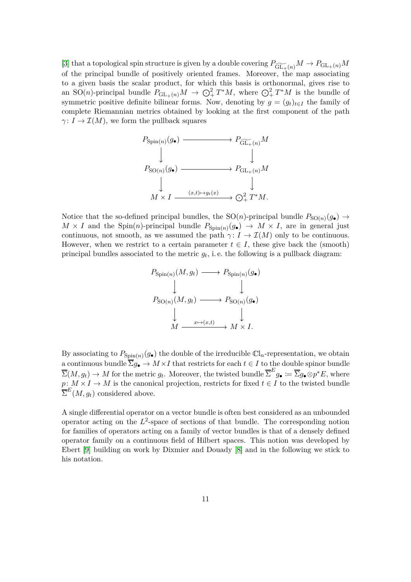[\[3\]](#page-25-4) that a topological spin structure is given by a double covering  $P_{\widetilde{\mathrm{GL}_+}(n)}M \to P_{\mathrm{GL}_+(n)}M$ of the principal bundle of positively oriented frames. Moreover, the map associating to a given basis the scalar product, for which this basis is orthonormal, gives rise to an SO(*n*)-principal bundle  $P_{\text{GL}_+(n)}M \to \bigodot^2_+ T^*M$ , where  $\bigodot^2_+ T^*M$  is the bundle of symmetric positive definite bilinear forms. Now, denoting by  $g = (g_t)_{t \in I}$  the family of complete Riemannian metrics obtained by looking at the first component of the path  $\gamma: I \to \mathcal{I}(M)$ , we form the pullback squares



Notice that the so-defined principal bundles, the  $SO(n)$ -principal bundle  $P_{SO(n)}(g_{\bullet}) \to$  $M \times I$  and the Spin(*n*)-principal bundle  $P_{Spin(n)}(g_{\bullet}) \to M \times I$ , are in general just continuous, not smooth, as we assumed the path  $\gamma: I \to \mathcal{I}(M)$  only to be continuous. However, when we restrict to a certain parameter  $t \in I$ , these give back the (smooth) principal bundles associated to the metric  $g_t$ , i.e. the following is a pullback diagram:

$$
P_{\text{Spin}(n)}(M, g_t) \longrightarrow P_{\text{Spin}(n)}(g_{\bullet})
$$
  
\n
$$
\downarrow \qquad \qquad \downarrow
$$
  
\n
$$
P_{\text{SO}(n)}(M, g_t) \longrightarrow P_{\text{SO}(n)}(g_{\bullet})
$$
  
\n
$$
\downarrow \qquad \qquad \downarrow
$$
  
\n
$$
M \xrightarrow{x \mapsto (x, t)} M \times I.
$$

By associating to  $P_{\text{Spin}(n)}(g_{\bullet})$  the double of the irreducible  $\mathbb{C}l_n$ -representation, we obtain a continuous bundle  $\overline{\Sigma}g_{\bullet}\to M\times I$  that restricts for each  $t\in I$  to the double spinor bundle  $\overline{\Sigma}(M, g_t) \to M$  for the metric  $g_t$ . Moreover, the twisted bundle  $\overline{\Sigma}^E g_{\bullet} := \overline{\Sigma} g_{\bullet} \otimes p^* E$ , where  $p: M \times I \to M$  is the canonical projection, restricts for fixed  $t \in I$  to the twisted bundle  $\overline{\Sigma}^E(M, g_t)$  considered above.

A single differential operator on a vector bundle is often best considered as an unbounded operator acting on the *L* 2 -space of sections of that bundle. The corresponding notion for families of operators acting on a family of vector bundles is that of a densely defined operator family on a continuous field of Hilbert spaces. This notion was developed by Ebert [\[9\]](#page-26-8) building on work by Dixmier and Douady [\[8\]](#page-26-10) and in the following we stick to his notation.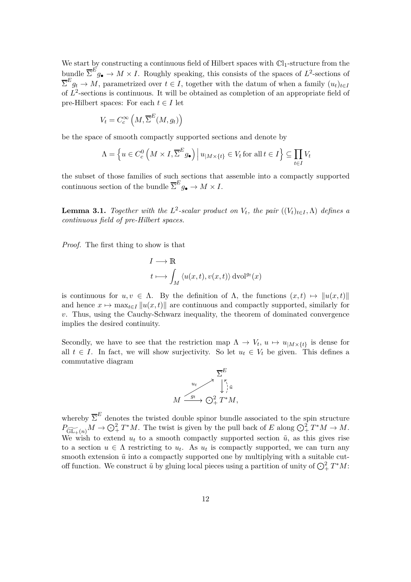We start by constructing a continuous field of Hilbert spaces with  $\mathbb{C}l_1$ -structure from the bundle  $\overline{\Sigma}^E g_{\bullet} \to M \times I$ . Roughly speaking, this consists of the spaces of  $L^2$ -sections of  $\sum_{i=1}^{E} g_i \rightarrow M$ , parametrized over  $t \in I$ , together with the datum of when a family  $(u_t)_{t \in I}$ of  $L^2$ -sections is continuous. It will be obtained as completion of an appropriate field of pre-Hilbert spaces: For each  $t \in I$  let

$$
V_t = C_c^{\infty}\left(M, \overline{\Sigma}^E(M, g_t)\right)
$$

be the space of smooth compactly supported sections and denote by

$$
\Lambda = \left\{ u \in C_c^0 \left( M \times I, \overline{\Sigma}^E g_\bullet \right) \middle| u_{|M \times \{t\}} \in V_t \text{ for all } t \in I \right\} \subseteq \prod_{t \in I} V_t
$$

the subset of those families of such sections that assemble into a compactly supported continuous section of the bundle  $\overline{\Sigma}^E g_{\bullet} \to M \times I$ .

**Lemma 3.1.** *Together with the*  $L^2$ -scalar product on  $V_t$ , the pair  $((V_t)_{t \in I}, \Lambda)$  defines a *continuous field of pre-Hilbert spaces.*

*Proof.* The first thing to show is that

$$
I \longrightarrow \mathbb{R}
$$
  

$$
t \longmapsto \int_M \langle u(x,t), v(x,t) \rangle \, dvol^{g_t}(x)
$$

is continuous for  $u, v \in \Lambda$ . By the definition of  $\Lambda$ , the functions  $(x, t) \mapsto ||u(x, t)||$ and hence  $x \mapsto \max_{t \in I} ||u(x, t)||$  are continuous and compactly supported, similarly for *v*. Thus, using the Cauchy-Schwarz inequality, the theorem of dominated convergence implies the desired continuity.

Secondly, we have to see that the restriction map  $\Lambda \to V_t$ ,  $u \mapsto u_{|M \times \{t\}}$  is dense for all  $t \in I$ . In fact, we will show surjectivity. So let  $u_t \in V_t$  be given. This defines a commutative diagram



whereby  $\overline{\Sigma}^E$  denotes the twisted double spinor bundle associated to the spin structure  $P_{\widetilde{\mathrm{GL}_+}(n)}M \to \mathbb{O}_+^2 T^*M$ . The twist is given by the pull back of *E* along  $\mathbb{O}_+^2 T^*M \to M$ . We wish to extend  $u_t$  to a smooth compactly supported section  $\tilde{u}$ , as this gives rise to a section  $u \in \Lambda$  restricting to  $u_t$ . As  $u_t$  is compactly supported, we can turn any smooth extension  $\tilde{u}$  into a compactly supported one by multiplying with a suitable cutoff function. We construct  $\tilde{u}$  by gluing local pieces using a partition of unity of  $\bigodot^2_+ T^*M$ :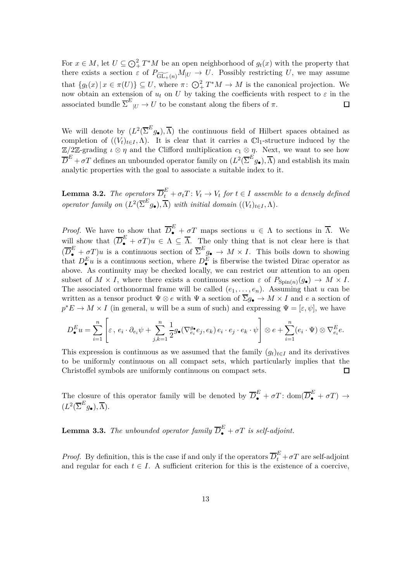For  $x \in M$ , let  $U \subseteq \bigodot^2_+ T^*M$  be an open neighborhood of  $g_t(x)$  with the property that there exists a section  $\varepsilon$  of  $P_{\widetilde{\text{GL}_+}(n)}M|_U \to U$ . Possibly restricting *U*, we may assume that  $\{g_t(x) | x \in \pi(U)\} \subseteq U$ , where  $\pi: \bigodot^2_+ T^*M \to M$  is the canonical projection. We now obtain an extension of  $u_t$  on U by taking the coefficients with respect to  $\varepsilon$  in the associated bundle  $\overline{\Sigma}^E_{\vert U} \to U$  to be constant along the fibers of  $\pi$ .  $\Box$ 

We will denote by  $(L^2(\overline{\Sigma}^E g_{\bullet}), \overline{\Lambda})$  the continuous field of Hilbert spaces obtained as completion of  $((V_t)_{t \in I}, \Lambda)$ . It is clear that it carries a  $\mathbb{C}l_1$ -structure induced by the  $\mathbb{Z}/2\mathbb{Z}$ -grading  $\iota \otimes \eta$  and the Clifford multiplication  $c_1 \otimes \eta$ . Next, we want to see how  $\overline{D}^E + \sigma T$  defines an unbounded operator family on  $(L^2(\overline{\Sigma}^E g_{\bullet}), \overline{\Lambda})$  and establish its main analytic properties with the goal to associate a suitable index to it.

**Lemma 3.2.** *The operators*  $\overline{D}_t^E + \sigma_t T$ :  $V_t \to V_t$  for  $t \in I$  assemble to a densely defined *operator family on*  $(L^2(\overline{\Sigma}^E g_{\bullet}), \overline{\Lambda})$  *with initial domain*  $((V_t)_{t \in I}, \Lambda)$ *.* 

*Proof.* We have to show that  $\overline{D}_{\bullet}^{E} + \overline{\sigma}^{T}$  maps sections  $u \in \Lambda$  to sections in  $\overline{\Lambda}$ . We will show that  $(\overline{D}_{\bullet}^E + \sigma T)u \in \Lambda \subseteq \overline{\Lambda}$ . The only thing that is not clear here is that  $(\overline{D}_{\bullet}^E + \sigma T)u$  is a continuous section of  $\overline{\Sigma}^E g_{\bullet} \to M \times I$ . This boils down to showing that  $D_{\bullet}^{E}u$  is a continuous section, where  $D_{\bullet}^{E}$  is fiberwise the twisted Dirac operator as above. As continuity may be checked locally, we can restrict our attention to an open subset of  $M \times I$ , where there exists a continuous section  $\varepsilon$  of  $P_{\text{Spin}(n)}(g_{\bullet}) \to M \times I$ . The associated orthonormal frame will be called  $(e_1, \ldots, e_n)$ . Assuming that *u* can be written as a tensor product  $\Psi \otimes e$  with  $\Psi$  a section of  $\overline{\Sigma}g_{\bullet} \to M \times I$  and *e* a section of  $p^*E \to M \times I$  (in general, *u* will be a sum of such) and expressing  $\Psi = [\varepsilon, \psi]$ , we have

$$
D_{\bullet}^{E}u = \sum_{i=1}^{n} \left[ \varepsilon, e_{i} \cdot \partial_{e_{i}} \psi + \sum_{j,k=1}^{n} \frac{1}{2} g_{\bullet}(\nabla_{e_{i}}^{g_{\bullet}} e_{j}, e_{k}) e_{i} \cdot e_{j} \cdot e_{k} \cdot \psi \right] \otimes e + \sum_{i=1}^{n} (e_{i} \cdot \Psi) \otimes \nabla_{e_{i}}^{E} e.
$$

This expression is continuous as we assumed that the family  $(g_t)_{t \in I}$  and its derivatives to be uniformly continuous on all compact sets, which particularly implies that the Christoffel symbols are uniformly continuous on compact sets.  $\Box$ 

<span id="page-12-0"></span>The closure of this operator family will be denoted by  $\overline{D}_{\bullet}^{E} + \sigma T$ : dom $(\overline{D}_{\bullet}^{E} + \sigma T) \rightarrow$  $(L^2(\overline{\Sigma}^E g_{\bullet}), \overline{\Lambda}).$ 

**Lemma 3.3.** *The unbounded operator family*  $\overline{D}_{\bullet}^{E} + \sigma T$  *is self-adjoint.* 

*Proof.* By definition, this is the case if and only if the operators  $\overline{D}_t^E + \sigma T$  are self-adjoint and regular for each  $t \in I$ . A sufficient criterion for this is the existence of a coercive,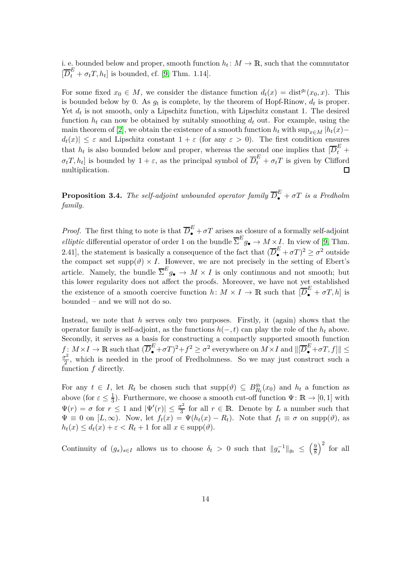i. e. bounded below and proper, smooth function  $h_t: M \to \mathbb{R}$ , such that the commutator  $[\overline{D}_t^E + \sigma_t T, h_t]$  is bounded, cf. [\[9,](#page-26-8) Thm. 1.14].

For some fixed  $x_0 \in M$ , we consider the distance function  $d_t(x) = \text{dist}^{g_t}(x_0, x)$ . This is bounded below by 0. As  $g_t$  is complete, by the theorem of Hopf-Rinow,  $d_t$  is proper. Yet  $d_t$  is not smooth, only a Lipschitz function, with Lipschitz constant 1. The desired function  $h_t$  can now be obtained by suitably smoothing  $d_t$  out. For example, using the main theorem of [\[2\]](#page-25-5), we obtain the existence of a smooth function  $h_t$  with  $\sup_{x \in M} |h_t(x)$  $d_t(x) \leq \varepsilon$  and Lipschitz constant  $1 + \varepsilon$  (for any  $\varepsilon > 0$ ). The first condition ensures that  $h_t$  is also bounded below and proper, whereas the second one implies that  $[\overline{D}_t^E +$  $\sigma_t T$ ,  $h_t$  is bounded by  $1 + \varepsilon$ , as the principal symbol of  $\overline{D}_t^E + \sigma_t T$  is given by Clifford multiplication.  $\Box$ 

<span id="page-13-0"></span>**Proposition 3.4.** *The self-adjoint unbounded operator family*  $\overline{D}_{\bullet}^{E} + \sigma T$  *is a Fredholm family.*

*Proof.* The first thing to note is that  $\overline{D}_{\bullet}^{E} + \sigma T$  arises as closure of a formally self-adjoint *elliptic* differential operator of order 1 on the bundle  $\overline{\Sigma}^E g_{\bullet} \to M \times I$ . In view of [\[9,](#page-26-8) Thm. 2.41], the statement is basically a consequence of the fact that  $(\overline{D}_{\bullet}^E + \sigma T)^2 \ge \sigma^2$  outside the compact set supp $(\vartheta) \times I$ . However, we are not precisely in the setting of Ebert's article. Namely, the bundle  $\overline{\Sigma}^E g_{\bullet} \to M \times I$  is only continuous and not smooth; but this lower regularity does not affect the proofs. Moreover, we have not yet established the existence of a smooth coercive function  $h: M \times I \to \mathbb{R}$  such that  $[\overline{D}_{\bullet}^E + \sigma T, h]$  is bounded – and we will not do so.

Instead, we note that *h* serves only two purposes. Firstly, it (again) shows that the operator family is self-adjoint, as the functions  $h(-, t)$  can play the role of the  $h_t$  above. Secondly, it serves as a basis for constructing a compactly supported smooth function  $f: M \times I \to \mathbb{R}$  such that  $(\overline{D}_{\bullet}^E + \sigma T)^2 + f^2 \geq \sigma^2$  everywhere on  $M \times I$  and  $\|[\overline{D}_{\bullet}^E + \sigma T, f]\| \leq$ *σ* 2  $\frac{r^2}{2}$ , which is needed in the proof of Fredholmness. So we may just construct such a function *f* directly.

For any  $t \in I$ , let  $R_t$  be chosen such that  $\text{supp}(\vartheta) \subseteq B_{R_t}^{g_t}$  $R_t^{gt}(x_0)$  and  $h_t$  a function as above (for  $\varepsilon \leq \frac{1}{3}$ ). Furthermore, we choose a smooth cut-off function  $\Psi: \mathbb{R} \to [0,1]$  with  $\Psi(r) = \sigma$  for  $r \leq 1$  and  $|\Psi'(r)| \leq \frac{\sigma^2}{3}$  $\frac{f^2}{3}$  for all  $r \in \mathbb{R}$ . Denote by *L* a number such that  $\Psi \equiv 0$  on  $[L, \infty)$ . Now, let  $f_t(x) = \Psi(h_t(x) - R_t)$ . Note that  $f_t \equiv \sigma$  on supp( $\vartheta$ ), as  $h_t(x) \leq d_t(x) + \varepsilon < R_t + 1$  for all  $x \in \text{supp}(\vartheta)$ .

Continuity of  $(g_s)_{s \in I}$  allows us to choose  $\delta_t > 0$  such that  $||g_s^{-1}||_{g_t} \le$  $\sqrt{9}$ 8  $\big)^2$  for all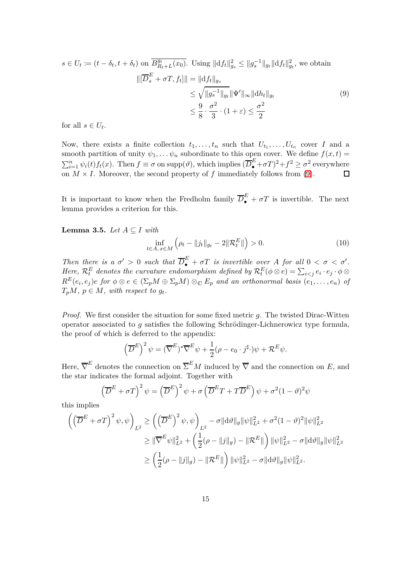$$
s \in U_t := (t - \delta_t, t + \delta_t) \text{ on } \overline{B_{R_t+L}^{gt}(x_0)}. \text{ Using } ||df_t||_{g_s}^2 \le ||g_s^{-1}||_{g_t} ||df_t||_{g_t}^2, \text{ we obtain}
$$

$$
||[\overline{D}_s^E + \sigma T, f_t]|| = ||df_t||_{g_s}
$$

$$
\le \sqrt{||g_s^{-1}||_{g_t} ||\Psi'||_{\infty} ||dh_t||_{g_t}}
$$
(9)
$$
\le \frac{9}{8} \cdot \frac{\sigma^2}{3} \cdot (1 + \varepsilon) \le \frac{\sigma^2}{2}
$$

for all  $s \in U_t$ .

Now, there exists a finite collection  $t_1, \ldots, t_n$  such that  $U_{t_1}, \ldots, U_{t_n}$  cover *I* and a smooth partition of unity  $\psi_1, \ldots, \psi_n$  subordinate to this open cover. We define  $f(x, t) =$  $\sum_{i=1}^{n} \psi_i(t) f_t(x)$ . Then  $f \equiv \sigma$  on supp $(\vartheta)$ , which implies  $(\overline{D}_{\bullet}^E + \sigma T)^2 + f^2 \ge \sigma^2$  everywhere on  $M \times I$ . Moreover, the second property of *f* immediately follows from [\(9\)](#page-14-0).  $\Box$ 

<span id="page-14-2"></span>It is important to know when the Fredholm family  $\overline{D}_{\bullet}^E + \sigma T$  is invertible. The next lemma provides a criterion for this.

**Lemma 3.5.** *Let A* ⊆ *I with*

<span id="page-14-1"></span><span id="page-14-0"></span>
$$
\inf_{t \in A, x \in M} \left( \rho_t - \|j_t\|_{g_t} - 2\|\mathcal{R}_t^E\| \right) > 0. \tag{10}
$$

*Then there is a*  $\sigma' > 0$  *such that*  $\overline{D}_{\bullet}^{E} + \sigma T$  *is invertible over A for all*  $0 < \sigma < \sigma'$ *. Here*,  $\mathcal{R}_t^E$  *denotes the curvature endomorphism defined by*  $\mathcal{R}_t^E(\phi \otimes e) = \sum_{i < j} e_i \cdot e_j \cdot \phi \otimes$  $R^{E}(e_i,e_j)e$  for  $\phi \otimes e \in (\Sigma_p M \oplus \Sigma_p M) \otimes_{\mathbb{C}} E_p$  and an orthonormal basis  $(e_1,\ldots,e_n)$  of  $T_pM, p \in M$ *, with respect to*  $g_t$ *.* 

*Proof.* We first consider the situation for some fixed metric *g*. The twisted Dirac-Witten operator associated to *g* satisfies the following Schrödinger-Lichnerowicz type formula, the proof of which is deferred to the appendix:

$$
\left(\overline{D}^E\right)^2 \psi = (\overline{\nabla}^E)^* \overline{\nabla}^E \psi + \frac{1}{2} (\rho - e_0 \cdot j^{\sharp}) \psi + \mathcal{R}^E \psi.
$$

Here,  $\overline{\nabla}^E$  denotes the connection on  $\Sigma^E M$  induced by  $\overline{\nabla}$  and the connection on *E*, and the star indicates the formal adjoint. Together with

$$
\left(\overline{D}^{E} + \sigma T\right)^{2} \psi = \left(\overline{D}^{E}\right)^{2} \psi + \sigma \left(\overline{D}^{E} T + T \overline{D}^{E}\right) \psi + \sigma^{2} (1 - \vartheta)^{2} \psi
$$

this implies

$$
\begin{aligned}\n\left( \left( \overline{D}^{E} + \sigma T \right)^{2} \psi, \psi \right)_{L^{2}} &\geq \left( \left( \overline{D}^{E} \right)^{2} \psi, \psi \right)_{L^{2}} - \sigma \| \mathrm{d} \vartheta \|_{g} \| \psi \|_{L^{2}}^{2} + \sigma^{2} (1 - \vartheta)^{2} \| \psi \|_{L^{2}}^{2} \\
&\geq \| \overline{\nabla}^{E} \psi \|_{L^{2}}^{2} + \left( \frac{1}{2} (\rho - \| j \|_{g}) - \| \mathcal{R}^{E} \| \right) \| \psi \|_{L^{2}}^{2} - \sigma \| \mathrm{d} \vartheta \|_{g} \| \psi \|_{L^{2}}^{2} \\
&\geq \left( \frac{1}{2} (\rho - \| j \|_{g}) - \| \mathcal{R}^{E} \| \right) \| \psi \|_{L^{2}}^{2} - \sigma \| \mathrm{d} \vartheta \|_{g} \| \psi \|_{L^{2}}^{2}.\n\end{aligned}
$$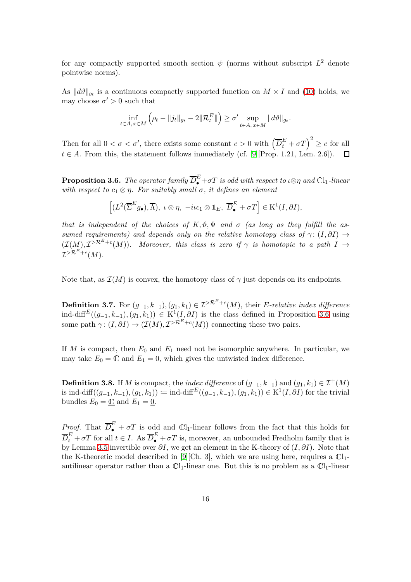for any compactly supported smooth section  $\psi$  (norms without subscript  $L^2$  denote pointwise norms).

As  $||d\theta||_{g_t}$  is a continuous compactly supported function on  $M \times I$  and [\(10\)](#page-14-1) holds, we may choose  $\sigma' > 0$  such that

$$
\inf_{t\in A,\,x\in M}\left(\rho_t-\|j_t\|_{g_t}-2\|\mathcal{R}_t^E\|\right)\geq \sigma'\sup_{t\in A,\,x\in M}\|d\vartheta\|_{g_t}.
$$

Then for all  $0 < \sigma < \sigma'$ , there exists some constant  $c > 0$  with  $(\overline{D}_t^E + \sigma T)^2 \ge c$  for all  $t \in A$ . From this, the statement follows immediately (cf. [\[9\]](#page-26-8)[Prop. 1.21, Lem. 2.6]).  $\Box$ 

<span id="page-15-0"></span>**Proposition 3.6.** *The operator family*  $\overline{D}_{\bullet}^E + \sigma T$  *is odd with respect to*  $\iota \otimes \eta$  *and*  $\mathbb{C}l_1$ *-linear with respect to*  $c_1 \otimes \eta$ *. For suitably small*  $\sigma$ *, it defines an element* 

$$
\left[(L^2(\overline{\Sigma}^E g_\bullet), \overline{\Lambda}), \ \iota \otimes \eta, \ -\mathrm{i} \iota c_1 \otimes \mathbb{1}_E, \ \overline{D}^E_\bullet + \sigma T\right] \in \mathrm{K}^1(I, \partial I),
$$

*that is independent of the choices of*  $K, \vartheta, \Psi$  *and*  $\sigma$  *(as long as they fulfill the assumed requirements) and depends only on the relative homotopy class of*  $\gamma$  :  $(I, \partial I) \rightarrow$  $(\mathcal{I}(M), \mathcal{I}^{>R^E+c}(M))$ . Moreover, this class is zero if  $\gamma$  is homotopic to a path  $I \to$  $\mathcal{I}^{> \mathcal{R}^E + c}(M)$ .

Note that, as  $\mathcal{I}(M)$  is convex, the homotopy class of  $\gamma$  just depends on its endpoints.

**Definition 3.7.** For  $(g_{-1}, k_{-1})$ ,  $(g_1, k_1) \in I^{\geq R^E + c}(M)$ , their *E-relative index difference* ind-diff<sup>E</sup>( $(g_{-1}, k_{-1})$ , $(g_1, k_1)$ ) ∈ K<sup>1</sup>( $I, \partial I$ ) is the class defined in Proposition [3.6](#page-15-0) using some path  $\gamma$ :  $(I, \partial I) \to (\mathcal{I}(M), \mathcal{I}^{> \mathcal{R}^E + c}(M))$  connecting these two pairs.

If  $M$  is compact, then  $E_0$  and  $E_1$  need not be isomorphic anywhere. In particular, we may take  $E_0 = \mathbb{C}$  and  $E_1 = 0$ , which gives the untwisted index difference.

**Definition 3.8.** If *M* is compact, the *index difference* of  $(g_{-1}, k_{-1})$  and  $(g_1, k_1) \in \mathcal{I}^+(M)$ is ind-diff( $(g_{-1}, k_{-1})$ *,* $(g_1, k_1)$ ) := ind-diff<sup>E</sup>( $(g_{-1}, k_{-1})$ *,* $(g_1, k_1)$ ) ∈ K<sup>1</sup>(*I, ∂I*) for the trivial bundles  $E_0 = \underline{\mathbb{C}}$  and  $E_1 = \underline{0}$ .

*Proof.* That  $\overline{D}_{\bullet}^{E} + \sigma T$  is odd and  $\mathbb{C}l_1$ -linear follows from the fact that this holds for  $\overline{D}_t^E + \sigma T$  for all  $t \in I$ . As  $\overline{D}_\bullet^E + \sigma T$  is, moreover, an unbounded Fredholm family that is by Lemma [3.5](#page-14-2) invertible over *∂I*, we get an element in the K-theory of (*I, ∂I*). Note that the K-theoretic model described in [\[9\]](#page-26-8)[Ch. 3], which we are using here, requires a  $\mathbb{C}1$ antilinear operator rather than a  $\mathbb{C}1_1$ -linear one. But this is no problem as a  $\mathbb{C}1_1$ -linear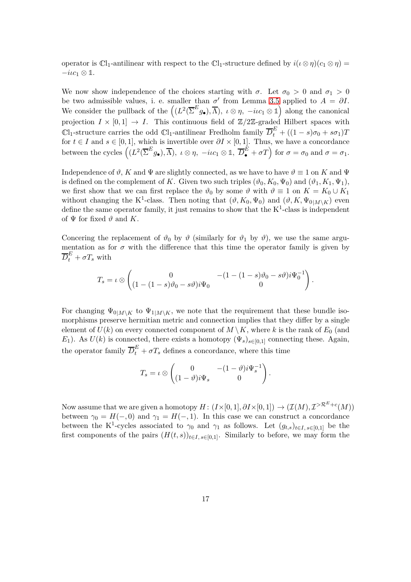operator is  $\mathbb{C}l_1$ -antilinear with respect to the  $\mathbb{C}l_1$ -structure defined by  $i(\iota \otimes \eta)(c_1 \otimes \eta)$  = <sup>−</sup>*iιc*<sup>1</sup> <sup>⊗</sup> **<sup>1</sup>**.

We now show independence of the choices starting with  $\sigma$ . Let  $\sigma_0 > 0$  and  $\sigma_1 > 0$ be two admissible values, i. e. smaller than  $\sigma'$  from Lemma [3.5](#page-14-2) applied to  $A = \partial I$ . We consider the pullback of the  $((L^2(\overline{\Sigma}^E g_{\bullet}), \overline{\Lambda}), \ \iota \otimes \eta, -ic_1 \otimes \mathbb{1})$  along the canonical projection  $I \times [0,1] \rightarrow I$ . This continuous field of  $\mathbb{Z}/2\mathbb{Z}$ -graded Hilbert spaces with  $\Box$ 1-structure carries the odd  $\Box$ 1-antilinear Fredholm family  $\overline{D}_t^E + ((1-s)\sigma_0 + s\sigma_1)T$ for  $t \in I$  and  $s \in [0,1]$ , which is invertible over  $\partial I \times [0,1]$ . Thus, we have a concordance between the cycles  $((L^2(\overline{\Sigma}^E g_{\bullet}), \overline{\Lambda}), \, \iota \otimes \eta, \, -ic_1 \otimes \mathbb{1}, \, \overline{D}_{\bullet}^{\hat{E}} + \sigma T)$  for  $\sigma = \sigma_0$  and  $\sigma = \sigma_1$ .

Independence of  $\vartheta$ , *K* and  $\Psi$  are slightly connected, as we have to have  $\vartheta \equiv 1$  on *K* and  $\Psi$ is defined on the complement of *K*. Given two such triples  $(\vartheta_0, K_0, \Psi_0)$  and  $(\vartheta_1, K_1, \Psi_1)$ , we first show that we can first replace the  $\vartheta_0$  by some  $\vartheta$  with  $\vartheta \equiv 1$  on  $K = K_0 \cup K_1$ without changing the K<sup>1</sup>-class. Then noting that  $(\vartheta, K_0, \Psi_0)$  and  $(\vartheta, K, \Psi_{0|M\setminus K})$  even define the same operator family, it just remains to show that the  $K^1$ -class is independent of  $\Psi$  for fixed  $\vartheta$  and K.

Concering the replacement of  $\vartheta_0$  by  $\vartheta$  (similarly for  $\vartheta_1$  by  $\vartheta$ ), we use the same argumentation as for  $\sigma$  with the difference that this time the operator family is given by  $\overline{D}_t^E + \sigma T_s$  with

$$
T_s = \iota \otimes \begin{pmatrix} 0 & -(1 - (1 - s)\vartheta_0 - s\vartheta)i\Psi_0^{-1} \\ (1 - (1 - s)\vartheta_0 - s\vartheta)i\Psi_0 & 0 \end{pmatrix}.
$$

For changing  $\Psi_{0|M\setminus K}$  to  $\Psi_{1|M\setminus K}$ , we note that the requirement that these bundle isomorphisms preserve hermitian metric and connection implies that they differ by a single element of  $U(k)$  on every connected component of  $M \setminus K$ , where k is the rank of  $E_0$  (and *E*<sub>1</sub>). As  $U(k)$  is connected, there exists a homotopy  $(\Psi_s)_{s \in [0,1]}$  connecting these. Again, the operator family  $\overline{D}_{t}^{E} + \sigma T_{s}$  defines a concordance, where this time

$$
T_s = \iota \otimes \begin{pmatrix} 0 & -(1-\vartheta)i\Psi_s^{-1} \\ (1-\vartheta)i\Psi_s & 0 \end{pmatrix}.
$$

Now assume that we are given a homotopy  $H: (I \times [0, 1], \partial I \times [0, 1]) \to (\mathcal{I}(M), \mathcal{I}^{> \mathcal{R}^E + c}(M))$ between  $\gamma_0 = H(-,0)$  and  $\gamma_1 = H(-,1)$ . In this case we can construct a concordance between the K<sup>1</sup>-cycles associated to  $\gamma_0$  and  $\gamma_1$  as follows. Let  $(g_{t,s})_{t\in I, s\in [0,1]}$  be the first components of the pairs  $(H(t, s))_{t \in I, s \in [0,1]}$ . Similarly to before, we may form the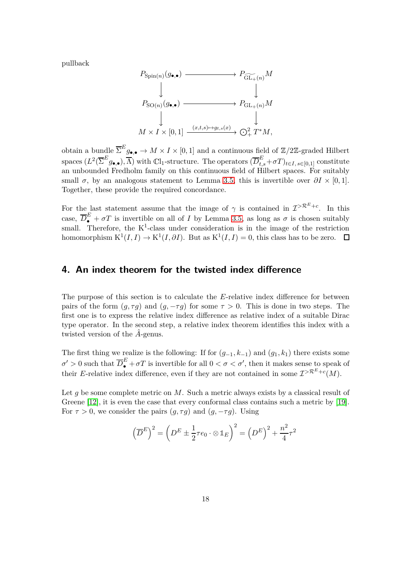pullback

$$
\begin{CD} P_{\text{Spin}(n)}(g_{\bullet,\bullet}) & \xrightarrow{\hspace{12pt}} P_{\widetilde{\text{GL}_{+}}(n)}M \\ \downarrow & & \downarrow \\ P_{\text{SO}(n)}(g_{\bullet,\bullet}) & \xrightarrow{\hspace{12pt}} P_{\text{GL}_{+}(n)}M \\ \downarrow & & \downarrow \\ M \times I \times [0,1] & \xrightarrow{(x,t,s) \mapsto g_{t,s}(x)} \bigodot^{2}_{+} T^{*}M, \end{CD}
$$

obtain a bundle  $\overline{\Sigma}^E g_{\bullet,\bullet} \to M \times I \times [0,1]$  and a continuous field of  $\mathbb{Z}/2\mathbb{Z}$ -graded Hilbert  $\sum_{i=1}^{K} (L^2(\overline{\Sigma}^E g_{\bullet,\bullet}), \overline{\Lambda})$  with  $\mathbb{C}l_1$ -structure. The operators  $(\overline{D}^E_{t,s} + \sigma T)_{t \in I, s \in [0,1]}$  constitute an unbounded Fredholm family on this continuous field of Hilbert spaces. For suitably small  $\sigma$ , by an analogous statement to Lemma [3.5,](#page-14-2) this is invertible over  $\partial I \times [0,1]$ . Together, these provide the required concordance.

For the last statement assume that the image of  $\gamma$  is contained in  $\mathcal{I}^{\geq \mathcal{R}^E+c}$ . In this case,  $\overline{D}_{\bullet}^E + \sigma T$  is invertible on all of *I* by Lemma [3.5,](#page-14-2) as long as  $\sigma$  is chosen suitably small. Therefore, the  $K^1$ -class under consideration is in the image of the restriction homomorphism  $K^1(I, I) \to K^1(I, \partial I)$ . But as  $K^1(I, I) = 0$ , this class has to be zero.

### **4. An index theorem for the twisted index difference**

The purpose of this section is to calculate the *E*-relative index difference for between pairs of the form  $(q, \tau q)$  and  $(q, -\tau q)$  for some  $\tau > 0$ . This is done in two steps. The first one is to express the relative index difference as relative index of a suitable Dirac type operator. In the second step, a relative index theorem identifies this index with a twisted version of the *A*-genus.

The first thing we realize is the following: If for  $(g_{-1}, k_{-1})$  and  $(g_1, k_1)$  there exists some  $\sigma' > 0$  such that  $\overline{D}_{\bullet}^E + \sigma T$  is invertible for all  $0 < \sigma < \sigma'$ , then it makes sense to speak of their *E*-relative index difference, even if they are not contained in some  $\mathcal{I}^{>R^E+c}(M)$ .

Let *q* be some complete metric on *M*. Such a metric always exists by a classical result of Greene [\[12\]](#page-26-11), it is even the case that every conformal class contains such a metric by [\[19\]](#page-26-12). For  $\tau > 0$ , we consider the pairs  $(g, \tau g)$  and  $(g, -\tau g)$ . Using

$$
\left(\overline{D}^E\right)^2 = \left(D^E \pm \frac{1}{2}\tau e_0 \cdot \otimes \mathbb{1}_E\right)^2 = \left(D^E\right)^2 + \frac{n^2}{4}\tau^2
$$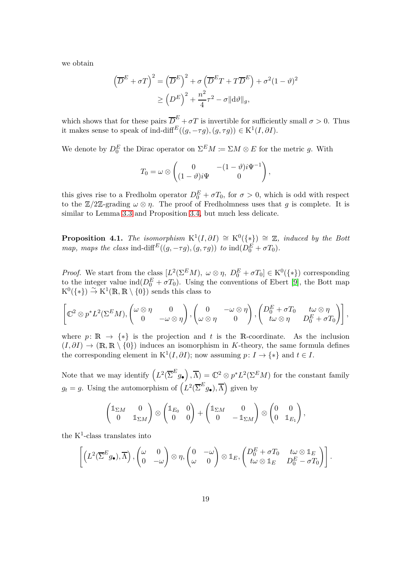we obtain

$$
\left(\overline{D}^{E} + \sigma T\right)^{2} = \left(\overline{D}^{E}\right)^{2} + \sigma \left(\overline{D}^{E}T + T\overline{D}^{E}\right) + \sigma^{2}(1-\vartheta)^{2}
$$

$$
\geq \left(D^{E}\right)^{2} + \frac{n^{2}}{4}\tau^{2} - \sigma \|\mathrm{d}\vartheta\|_{g},
$$

which shows that for these pairs  $\overline{D}^E + \sigma T$  is invertible for sufficiently small  $\sigma > 0$ . Thus it makes sense to speak of ind-diff<sup>E</sup> $((g, -\tau g), (g, \tau g)) \in \mathrm{K}^1(I, \partial I)$ .

We denote by  $D_0^E$  the Dirac operator on  $\Sigma^E M := \Sigma M \otimes E$  for the metric *g*. With

$$
T_0 = \omega \otimes \begin{pmatrix} 0 & -(1-\vartheta)i\Psi^{-1} \\ (1-\vartheta)i\Psi & 0 \end{pmatrix},
$$

this gives rise to a Fredholm operator  $D_0^E + \sigma T_0$ , for  $\sigma > 0$ , which is odd with respect to the  $\mathbb{Z}/2\mathbb{Z}$ -grading  $\omega \otimes \eta$ . The proof of Fredholmness uses that *g* is complete. It is similar to Lemma [3.3](#page-12-0) and Proposition [3.4,](#page-13-0) but much less delicate.

**Proposition 4.1.** *The isomorphism*  $K^1(I, \partial I) \cong K^0(\{*\}) \cong \mathbb{Z}$ *, induced by the Bott map, maps the class* ind-diff<sup>E</sup>( $(g, -\tau g)$ ,  $(g, \tau g)$ ) *to* ind( $D_0^E + \sigma T_0$ )*.* 

*Proof.* We start from the class  $[L^2(\Sigma^E M), \omega \otimes \eta, D_0^E + \sigma T_0] \in K^0(\{\ast\})$  corresponding to the integer value  $\text{ind}(D_0^E + \sigma T_0)$ . Using the conventions of Ebert [\[9\]](#page-26-8), the Bott map  $K^0(\{*\}) \stackrel{\sim}{\to} K^1(\mathbb{R}, \mathbb{R} \setminus \{0\})$  sends this class to

$$
\left[\n\mathbb{C}^2\otimes p^*L^2(\Sigma^EM),\n\begin{pmatrix}\n\omega\otimes\eta & 0 \\
0 & -\omega\otimes\eta\n\end{pmatrix},\n\begin{pmatrix}\n0 & -\omega\otimes\eta \\
\omega\otimes\eta & 0\n\end{pmatrix},\n\begin{pmatrix}\nD_0^E + \sigma T_0 & t\omega\otimes\eta \\
t\omega\otimes\eta & D_0^E + \sigma T_0\n\end{pmatrix}\n\right],
$$

where  $p: \mathbb{R} \to \{*\}$  is the projection and t is the R-coordinate. As the inclusion  $(I, \partial I) \to (\mathbb{R}, \mathbb{R} \setminus \{0\})$  induces an isomorphism in *K*-theory, the same formula defines the corresponding element in  $K^1(I, \partial I)$ ; now assuming  $p: I \to \{*\}$  and  $t \in I$ .

Note that we may identify  $(L^2(\overline{\Sigma}^E g_{\bullet}), \overline{\Lambda}) = \mathbb{C}^2 \otimes p^* L^2(\Sigma^E M)$  for the constant family  $g_t = g$ . Using the automorphism of  $(L^2(\overline{\Sigma}^E g_{\bullet}), \overline{\Lambda})$  given by

$$
\begin{pmatrix} \mathbb{1}_{\Sigma M} & 0 \\ 0 & \mathbb{1}_{\Sigma M} \end{pmatrix} \otimes \begin{pmatrix} \mathbb{1}_{E_0} & 0 \\ 0 & 0 \end{pmatrix} + \begin{pmatrix} \mathbb{1}_{\Sigma M} & 0 \\ 0 & -\mathbb{1}_{\Sigma M} \end{pmatrix} \otimes \begin{pmatrix} 0 & 0 \\ 0 & \mathbb{1}_{E_1} \end{pmatrix},
$$

the  $K^1$ -class translates into

$$
\left[ \left( L^2(\overline{\Sigma}^E g_\bullet), \overline{\Lambda} \right), \begin{pmatrix} \omega & 0 \\ 0 & -\omega \end{pmatrix} \otimes \eta, \begin{pmatrix} 0 & -\omega \\ \omega & 0 \end{pmatrix} \otimes \mathbb{1}_E, \begin{pmatrix} D_0^E + \sigma T_0 & t\omega \otimes \mathbb{1}_E \\ t\omega \otimes \mathbb{1}_E & D_0^E - \sigma T_0 \end{pmatrix} \right].
$$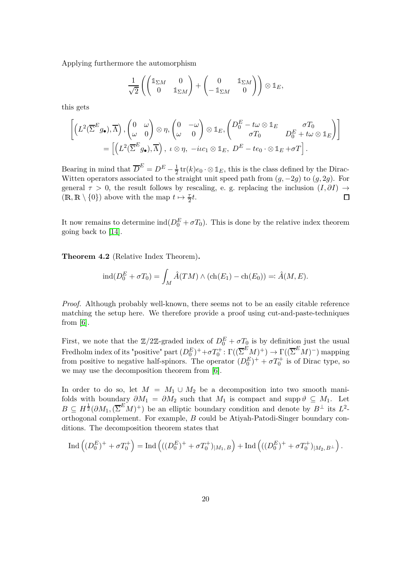Applying furthermore the automorphism

$$
\frac{1}{\sqrt{2}}\left(\begin{pmatrix}1_{\Sigma M}&0\\0&1_{\Sigma M}\end{pmatrix}+\begin{pmatrix}0&1_{\Sigma M}\\-\mathbb{1}_{\Sigma M}&0\end{pmatrix}\right)\otimes 1\!\!1_E,
$$

this gets

$$
\begin{split} \left[ \left(L^2 (\overline{\Sigma}^{E} g_{\bullet}), \overline{\Lambda}\right), \begin{pmatrix} 0 & \omega \\ \omega & 0 \end{pmatrix} \otimes \eta, \begin{pmatrix} 0 & -\omega \\ \omega & 0 \end{pmatrix} \otimes \mathbb{1}_{E}, \begin{pmatrix} D_0^{E} - t\omega \otimes \mathbb{1}_{E} & \sigma T_0 \\ \sigma T_0 & D_0^{E} + t\omega \otimes \mathbb{1}_{E} \end{pmatrix} \right] \\ &= \left[ \left(L^2 (\overline{\Sigma}^{E} g_{\bullet}), \overline{\Lambda}\right), \ \iota \otimes \eta, \ -i\iota c_1 \otimes \mathbb{1}_{E}, \ D^{E} - t e_0 \cdot \otimes \mathbb{1}_{E} + \sigma T \right]. \end{split}
$$

Bearing in mind that  $\overline{D}^E = D^E - \frac{1}{2}$  $\frac{1}{2}$  tr(*k*) $e_0 \cdot \otimes \mathbb{1}_E$ , this is the class defined by the Dirac-Witten operators associated to the straight unit speed path from  $(q, -2q)$  to  $(q, 2q)$ . For general  $\tau > 0$ , the result follows by rescaling, e. g. replacing the inclusion  $(I, \partial I) \rightarrow (\mathbb{R}, \mathbb{R} \setminus \{0\})$  above with the map  $t \mapsto \frac{\tau}{2}t$ .  $(\mathbb{R}, \mathbb{R} \setminus \{0\})$  above with the map  $t \mapsto \frac{\tau}{2}t$ .

It now remains to determine  $\text{ind}(D_0^E + \sigma T_0)$ . This is done by the relative index theorem going back to [\[14\]](#page-26-4).

**Theorem 4.2** (Relative Index Theorem)**.**

$$
ind(D_0^E + \sigma T_0) = \int_M \hat{A}(TM) \wedge (ch(E_1) - ch(E_0)) =: \hat{A}(M, E).
$$

*Proof.* Although probably well-known, there seems not to be an easily citable reference matching the setup here. We therefore provide a proof using cut-and-paste-techniques from [\[6\]](#page-25-6).

First, we note that the  $\mathbb{Z}/2\mathbb{Z}$ -graded index of  $D_0^E + \sigma T_0$  is by definition just the usual  $\text{Fredholm index of its "positive" part } (D_0^E)^+ + \sigma T_0^+ \colon \Gamma((\overline{\Sigma}^E M)^+) \to \Gamma((\overline{\Sigma}^E M)^-)$  mapping from positive to negative half-spinors. The operator  $(D_0^E)^+ + \sigma T_0^+$  is of Dirac type, so we may use the decomposition theorem from [\[6\]](#page-25-6).

In order to do so, let  $M = M_1 \cup M_2$  be a decomposition into two smooth manifolds with boundary  $\partial M_1 = \partial M_2$  such that  $M_1$  is compact and supp  $\vartheta \subseteq M_1$ . Let  $B \subseteq H^{\frac{1}{2}}(\partial M_1, (\overline{\Sigma}^E M)^+)$  be an elliptic boundary condition and denote by  $B^{\perp}$  its  $L^2$ orthogonal complement. For example, *B* could be Atiyah-Patodi-Singer boundary conditions. The decomposition theorem states that

$$
\operatorname{Ind}\left((D_0^E)^+ + \sigma T_0^+\right) = \operatorname{Ind}\left(((D_0^E)^+ + \sigma T_0^+)_{|M_1,B}\right) + \operatorname{Ind}\left(((D_0^E)^+ + \sigma T_0^+)_{|M_2,B^\perp}\right).
$$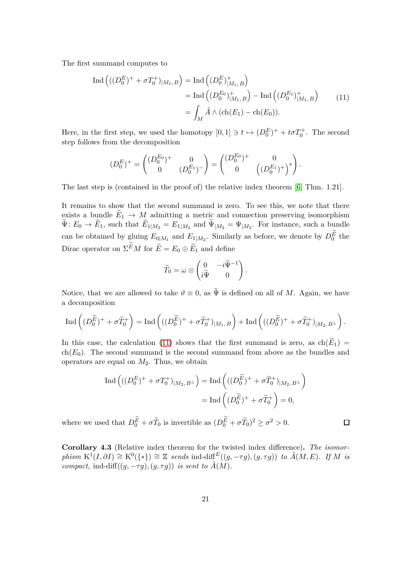The first summand computes to

<span id="page-20-0"></span>
$$
\begin{split} \text{Ind}\left( ((D_0^E)^+ + \sigma T_0^+)_{|M_1, B} \right) &= \text{Ind}\left( (D_0^E)^+_{|M_1, B} \right) \\ &= \text{Ind}\left( (D_0^{E_0})^+_{|M_1, B} \right) - \text{Ind}\left( (D_0^{E_1})^+_{|M_1, B} \right) \\ &= \int_M \hat{A} \wedge (\text{ch}(E_1) - \text{ch}(E_0)). \end{split} \tag{11}
$$

Here, in the first step, we used the homotopy  $[0,1] \ni t \mapsto (D_0^E)^+ + t\sigma T_0^+$ . The second step follows from the decomposition

$$
(D_0^E)^+=\begin{pmatrix} (D_0^{E_0})^+ & 0 \\ 0 & (D_0^{E_1})^- \end{pmatrix}=\begin{pmatrix} (D_0^{E_0})^+ & 0 \\ 0 & \left((D_0^{E_1})^+\right)^*\end{pmatrix}.
$$

The last step is (contained in the proof of) the relative index theorem [\[6,](#page-25-6) Thm. 1.21].

It remains to show that the second summand is zero. To see this, we note that there exists a bundle  $E_1 \to M$  admitting a metric and connection preserving isomorphism  $\Psi: E_0 \to E_1$ , such that  $E_{1|M_2} = E_{1|M_2}$  and  $\Psi_{|M_2} = \Psi_{|M_2}$ . For instance, such a bundle can be obtained by gluing  $E_{0|M_1}$  and  $E_{1|M_2}$ . Similarly as before, we denote by  $D_0^E$  the Dirac operator on  $\Sigma^E M$  for  $\tilde{E} = E_0 \oplus \tilde{E}_1$  and define

$$
\widetilde{T}_0 = \omega \otimes \begin{pmatrix} 0 & -i\widetilde{\Psi}^{-1} \\ i\widetilde{\Psi} & 0 \end{pmatrix}.
$$

Notice, that we are allowed to take  $\vartheta \equiv 0$ , as  $\tilde{\Psi}$  is defined on all of M. Again, we have a decomposition

$$
\operatorname{Ind}\left((D_0^{\widetilde{E}})^+ + \sigma \widetilde{T}_0^+\right) = \operatorname{Ind}\left(((D_0^{\widetilde{E}})^+ + \sigma \widetilde{T}_0^+ )_{|M_1,B}\right) + \operatorname{Ind}\left(((D_0^{\widetilde{E}})^+ + \sigma \widetilde{T}_0^+ )_{|M_2,B^\perp}\right).
$$

In this case, the calculation [\(11\)](#page-20-0) shows that the first summand is zero, as  $ch(E_1)$  $ch(E_0)$ . The second summand is the second summand from above as the bundles and operators are equal on *M*2. Thus, we obtain

$$
\text{Ind}\left(((D_0^E)^+ + \sigma T_0^+)_{|M_2, B^\perp}\right) = \text{Ind}\left(((D_0^{\widetilde{E}})^+ + \sigma \widetilde{T}_0^+)_{|M_2, B^\perp}\right)
$$

$$
= \text{Ind}\left((D_0^{\widetilde{E}})^+ + \sigma \widetilde{T}_0^+\right) = 0,
$$

 $\Box$ 

<span id="page-20-1"></span>where we used that  $D_0^E + \sigma \tilde{T}_0$  is invertible as  $(D_0^E + \sigma \tilde{T}_0)^2 \ge \sigma^2 > 0$ .

**Corollary 4.3** (Relative index theorem for the twisted index difference)**.** *The isomor* $phism \ K^{1}(I, \partial I) \cong K^{0}(\{\ast\}) \cong \mathbb{Z}$  *sends* ind-diff<sup>E</sup>((*g,* −*τg*)*,*(*g, τg*)) *to*  $\hat{A}(M, E)$ *. If M is compact,* ind-diff $((g, -\tau g), (g, \tau g))$  *is sent to*  $\hat{A}(M)$ *.*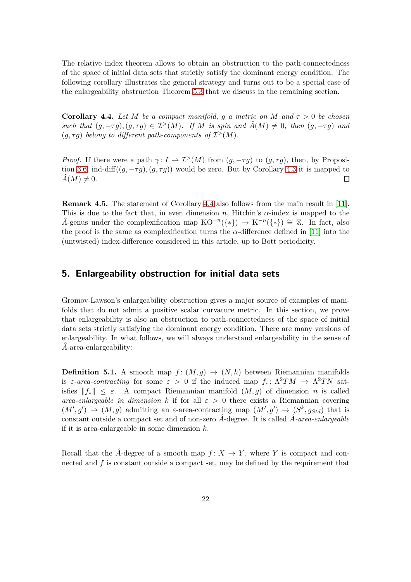The relative index theorem allows to obtain an obstruction to the path-connectedness of the space of initial data sets that strictly satisfy the dominant energy condition. The following corollary illustrates the general strategy and turns out to be a special case of the enlargeability obstruction Theorem [5.3](#page-23-0) that we discuss in the remaining section.

<span id="page-21-1"></span>**Corollary 4.4.** Let M be a compact manifold, g a metric on M and  $\tau > 0$  be chosen *such that*  $(q, -\tau q)$ ,  $(q, \tau q) \in \mathcal{I}^>(M)$ . If M is spin and  $\hat{A}(M) \neq 0$ , then  $(q, -\tau q)$  and  $(g, \tau g)$  *belong to different path-components of*  $\mathcal{I}^>(M)$ *.* 

*Proof.* If there were a path  $\gamma: I \to \mathcal{I}^>(M)$  from  $(g, -\tau g)$  to  $(g, \tau g)$ , then, by Proposi-tion [3.6,](#page-15-0) ind-diff $((g, -\tau g), (g, \tau g))$  would be zero. But by Corollary [4.3](#page-20-1) it is mapped to  $\hat{A}(M) \neq 0$ .  $\hat{A}(M) \neq 0.$ 

**Remark 4.5.** The statement of Corollary [4.4](#page-21-1) also follows from the main result in [\[11\]](#page-26-0). This is due to the fact that, in even dimension *n*, Hitchin's *α*-index is mapped to the *A*<sup>−</sup>genus under the complexification map  $KO^{-n}(\{*\}) \to K^{-n}(\{*\}) \cong \mathbb{Z}$ . In fact, also the proof is the same as complexification turns the *α*-difference defined in [\[11\]](#page-26-0) into the (untwisted) index-difference considered in this article, up to Bott periodicity.

#### **5. Enlargeability obstruction for initial data sets**

Gromov-Lawson's enlargeability obstruction gives a major source of examples of manifolds that do not admit a positive scalar curvature metric. In this section, we prove that enlargeability is also an obstruction to path-connectedness of the space of initial data sets strictly satisfying the dominant energy condition. There are many versions of enlargeability. In what follows, we will always understand enlargeability in the sense of A-area-enlargeability:

<span id="page-21-0"></span>**Definition 5.1.** A smooth map  $f : (M, g) \rightarrow (N, h)$  between Riemannian manifolds is  $\varepsilon$ -area-contracting for some  $\varepsilon > 0$  if the induced map  $f_* \colon \Lambda^2 TM \to \Lambda^2 TN$  satisfies  $||f_*|| \leq \varepsilon$ . A compact Riemannian manifold  $(M, q)$  of dimension *n* is called *area-enlargeable in dimension k* if for all  $\varepsilon > 0$  there exists a Riemannian covering  $(M', g') \rightarrow (M, g)$  admitting an *ε*-area-contracting map  $(M', g') \rightarrow (S^k, g_{Std})$  that is constant outside a compact set and of non-zero *A*ˆ-degree. It is called *A*ˆ*-area-enlargeable* if it is area-enlargeable in some dimension *k*.

Recall that the  $\hat{A}$ -degree of a smooth map  $f: X \to Y$ , where Y is compact and connected and *f* is constant outside a compact set, may be defined by the requirement that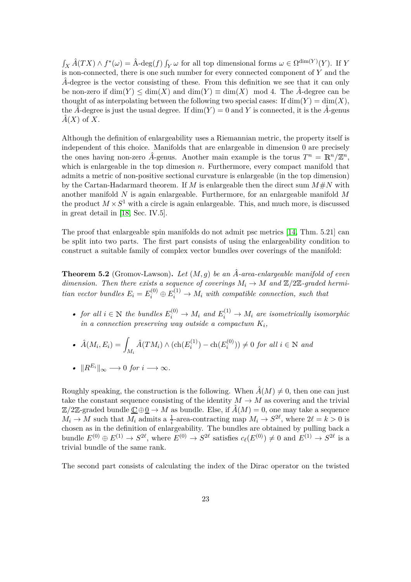$\int_X \hat{A}(TX) \wedge f^*(\omega) = \hat{A} \cdot deg(f) \int_Y \omega$  for all top dimensional forms  $\omega \in \Omega^{\dim(Y)}(Y)$ . If *Y* is non-connected, there is one such number for every connected component of *Y* and the *A*ˆ-degree is the vector consisting of these. From this definition we see that it can only be non-zero if  $\dim(Y) \leq \dim(X)$  and  $\dim(Y) \equiv \dim(X)$  mod 4. The  $\hat{A}$ -degree can be thought of as interpolating between the following two special cases: If  $\dim(Y) = \dim(X)$ , the  $\hat{A}$ -degree is just the usual degree. If  $\dim(Y) = 0$  and *Y* is connected, it is the  $\hat{A}$ -genus  $\hat{A}(X)$  of X.

Although the definition of enlargeability uses a Riemannian metric, the property itself is independent of this choice. Manifolds that are enlargeable in dimension 0 are precisely the ones having non-zero  $\hat{A}$ -genus. Another main example is the torus  $T^n = \mathbb{R}^n / \mathbb{Z}^n$ , which is enlargeable in the top dimesion *n*. Furthermore, every compact manifold that admits a metric of non-positive sectional curvature is enlargeable (in the top dimension) by the Cartan-Hadarmard theorem. If *M* is enlargeable then the direct sum  $M \# N$  with another manifold *N* is again enlargeable. Furthermore, for an enlargeable manifold *M* the product  $M \times S^1$  with a circle is again enlargeable. This, and much more, is discussed in great detail in [\[18,](#page-26-13) Sec. IV.5].

<span id="page-22-0"></span>The proof that enlargeable spin manifolds do not admit psc metrics [\[14,](#page-26-4) Thm. 5.21] can be split into two parts. The first part consists of using the enlargeability condition to construct a suitable family of complex vector bundles over coverings of the manifold:

**Theorem 5.2** (Gromov-Lawson)**.** *Let* (*M, g*) *be an A*ˆ*-area-enlargeable manifold of even dimension. Then there exists a sequence of coverings*  $M_i \to M$  *and*  $\mathbb{Z}/2\mathbb{Z}$ -graded hermi*tian vector bundles*  $E_i = E_i^{(0)} \oplus E_i^{(1)} \rightarrow M_i$  *with compatible connection, such that* 

• for all  $i \in \mathbb{N}$  the bundles  $E_i^{(0)} \to M_i$  and  $E_i^{(1)} \to M_i$  are isometrically isomorphic *in a connection preserving way outside a compactum K<sup>i</sup> ,*

• 
$$
\hat{A}(M_i, E_i) = \int_{M_i} \hat{A}(TM_i) \wedge (\text{ch}(E_i^{(1)}) - \text{ch}(E_i^{(0)})) \neq 0 \text{ for all } i \in \mathbb{N} \text{ and}
$$

• 
$$
||R^{E_i}||_{\infty} \longrightarrow 0 \text{ for } i \longrightarrow \infty.
$$

Roughly speaking, the construction is the following. When  $\hat{A}(M) \neq 0$ , then one can just take the constant sequence consisting of the identity  $M \to M$  as covering and the trivial  $\mathbb{Z}/2\mathbb{Z}$ -graded bundle  $\underline{\mathbb{C}} \oplus \underline{0} \to M$  as bundle. Else, if  $\hat{A}(M) = 0$ , one may take a sequence  $M_i \to M$  such that  $M_i$  admits a  $\frac{1}{i}$ -area-contracting map  $M_i \to S^{2\ell}$ , where  $2\ell = k > 0$  is chosen as in the definition of enlargeability. The bundles are obtained by pulling back a bundle  $E^{(0)} \oplus E^{(1)} \to S^{2\ell}$ , where  $E^{(0)} \to S^{2\ell}$  satisfies  $c_{\ell}(E^{(0)}) \neq 0$  and  $E^{(1)} \to S^{2\ell}$  is a trivial bundle of the same rank.

The second part consists of calculating the index of the Dirac operator on the twisted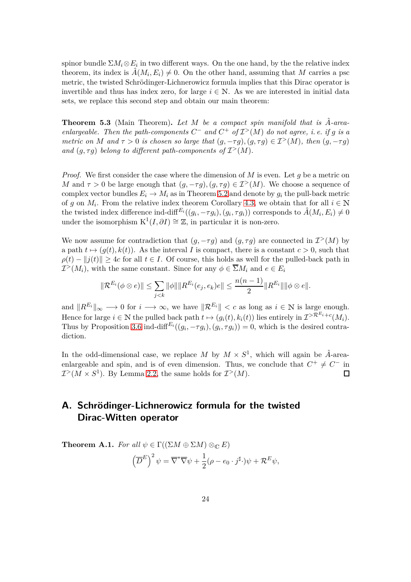spinor bundle  $\Sigma M_i \otimes E_i$  in two different ways. On the one hand, by the the relative index theorem, its index is  $\hat{A}(M_i, E_i) \neq 0$ . On the other hand, assuming that *M* carries a psc metric, the twisted Schrödinger-Lichnerowicz formula implies that this Dirac operator is invertible and thus has index zero, for large  $i \in \mathbb{N}$ . As we are interested in initial data sets, we replace this second step and obtain our main theorem:

<span id="page-23-0"></span>**Theorem 5.3** (Main Theorem). Let M be a compact spin manifold that is  $\hat{A}$ -area*enlargeable. Then the path-components*  $C^-$  *and*  $C^+$  *of*  $\mathcal{I}^>(M)$  *do not agree, i.e. if g is a metric on M* and  $\tau > 0$  *is chosen so large that*  $(q, -\tau q)$ ,  $(q, \tau q) \in \mathcal{I}^>(M)$ , then  $(q, -\tau q)$ and  $(g, \tau g)$  belong to different path-components of  $\mathcal{I}^>(M)$ .

*Proof.* We first consider the case where the dimension of *M* is even. Let *g* be a metric on *M* and  $\tau > 0$  be large enough that  $(g, -\tau g)$ ,  $(g, \tau g) \in \mathcal{I}^>(M)$ . We choose a sequence of complex vector bundles  $E_i \to M_i$  as in Theorem [5.2](#page-22-0) and denote by  $g_i$  the pull-back metric of *g* on  $M_i$ . From the relative index theorem Corollary [4.3,](#page-20-1) we obtain that for all  $i \in \mathbb{N}$ the twisted index difference ind-diff<sup> $E_i((g_i, -\tau g_i), (g_i, \tau g_i))$  corresponds to  $\hat{A}(M_i, E_i) \neq 0$ </sup> under the isomorphism  $K^1(I, \partial I) \cong \mathbb{Z}$ , in particular it is non-zero.

We now assume for contradiction that  $(g, -\tau g)$  and  $(g, \tau g)$  are connected in  $\mathcal{I}^>(M)$  by a path  $t \mapsto (g(t), k(t))$ . As the interval *I* is compact, there is a constant  $c > 0$ , such that  $\rho(t) - ||j(t)|| \geq 4c$  for all  $t \in I$ . Of course, this holds as well for the pulled-back path in  $\mathcal{I}^>(M_i)$ , with the same constant. Since for any  $\phi \in \overline{\Sigma}M_i$  and  $e \in E_i$ 

$$
\|\mathcal{R}^{E_i}(\phi \otimes e)\| \leq \sum_{j < k} \|\phi\| \|R^{E_i}(e_j, e_k)e\| \leq \frac{n(n-1)}{2} \|R^{E_i}\| \|\phi \otimes e\|.
$$

and  $||R^{E_i}||_{\infty} \longrightarrow 0$  for  $i \longrightarrow \infty$ , we have  $||R^{E_i}|| < c$  as long as  $i \in \mathbb{N}$  is large enough. Hence for large  $i \in \mathbb{N}$  the pulled back path  $t \mapsto (g_i(t), k_i(t))$  lies entirely in  $\mathcal{I}^{>R^{E_i}+c}(M_i)$ . Thus by Proposition [3.6](#page-15-0) ind-diff<sup> $E_i((g_i, -\tau g_i), (g_i, \tau g_i)) = 0$ , which is the desired contra-</sup> diction.

In the odd-dimensional case, we replace  $M$  by  $M \times S^1$ , which will again be  $\hat{A}$ -areaenlargeable and spin, and is of even dimension. Thus, we conclude that  $C^+ \neq C^-$  in  $\mathcal{I}^>(M \times S^1)$ . By Lemma [2.2,](#page-5-2) the same holds for  $\mathcal{I}^>(M)$ .  $\Box$ 

## **A. Schrödinger-Lichnerowicz formula for the twisted Dirac-Witten operator**

**Theorem A.1.** *For all*  $\psi \in \Gamma((\Sigma M \oplus \Sigma M) \otimes_{\mathbb{C}} E)$  $\left(\overline{D}^E\right)^2 \psi = \overline{\nabla}^* \overline{\nabla} \psi + \frac{1}{2}$  $\frac{1}{2}(\rho - e_0 \cdot j^{\sharp} \cdot)\psi + \mathcal{R}^E \psi,$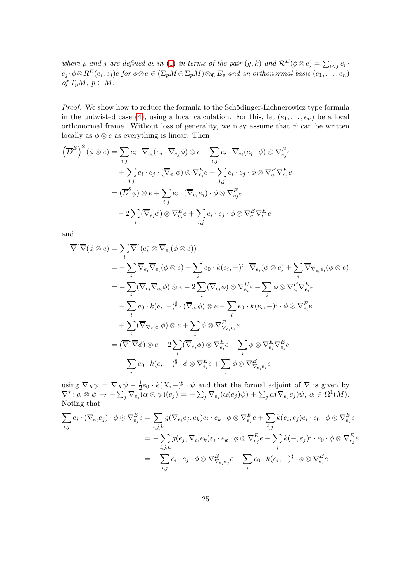*where*  $\rho$  *and*  $j$  *are defined as in* [\(1\)](#page-1-0) *in terms of the pair*  $(g, k)$  *and*  $\mathcal{R}^E(\phi \otimes e) = \sum_{i < j} e_i$ .  $e_j\cdot\phi\otimes R^E(e_i,e_j)e$  for  $\phi\otimes e\in (\Sigma_pM\oplus \Sigma_pM)\otimes_{\mathbb{C}} E_p$  and an orthonormal basis  $(e_1,\ldots,e_n)$  $\alpha f T_p M, p \in M$ .

*Proof.* We show how to reduce the formula to the Schödinger-Lichnerowicz type formula in the untwisted case [\(4\)](#page-6-0), using a local calculation. For this, let  $(e_1, \ldots, e_n)$  be a local orthonormal frame. Without loss of generality, we may assume that  $\psi$  can be written locally as  $\phi \otimes e$  as everything is linear. Then

$$
\left(\overline{D}^{E}\right)^{2}(\phi \otimes e) = \sum_{i,j} e_{i} \cdot \overline{\nabla}_{e_{i}}(e_{j} \cdot \overline{\nabla}_{e_{j}} \phi) \otimes e + \sum_{i,j} e_{i} \cdot \overline{\nabla}_{e_{i}}(e_{j} \cdot \phi) \otimes \nabla_{e_{j}}^{E} e
$$

$$
+ \sum_{i,j} e_{i} \cdot e_{j} \cdot (\overline{\nabla}_{e_{j}} \phi) \otimes \nabla_{e_{i}}^{E} e + \sum_{i,j} e_{i} \cdot e_{j} \cdot \phi \otimes \nabla_{e_{i}}^{E} \nabla_{e_{j}}^{E} e
$$

$$
= (\overline{D}^{2} \phi) \otimes e + \sum_{i,j} e_{i} \cdot (\overline{\nabla}_{e_{i}} e_{j}) \cdot \phi \otimes \nabla_{e_{j}}^{E} e
$$

$$
- 2 \sum_{i} (\overline{\nabla}_{e_{i}} \phi) \otimes \nabla_{e_{i}}^{E} e + \sum_{i,j} e_{i} \cdot e_{j} \cdot \phi \otimes \nabla_{e_{i}}^{E} \nabla_{e_{j}}^{E} e
$$

and

$$
\overline{\nabla}^*\overline{\nabla}(\phi \otimes e) = \sum_i \overline{\nabla}^*(e_i^* \otimes \overline{\nabla}_{e_i}(\phi \otimes e))
$$
  
\n
$$
= -\sum_i \overline{\nabla}_{e_i} \overline{\nabla}_{e_i}(\phi \otimes e) - \sum_i e_0 \cdot k(e_i, -)^{\sharp} \cdot \overline{\nabla}_{e_i}(\phi \otimes e) + \sum_i \overline{\nabla}_{\nabla_{e_i}e_i}(\phi \otimes e)
$$
  
\n
$$
= -\sum_i (\overline{\nabla}_{e_i} \overline{\nabla}_{e_i} \phi) \otimes e - 2\sum_i (\overline{\nabla}_{e_i} \phi) \otimes \nabla_{e_i}^E e - \sum_i \phi \otimes \nabla_{e_i}^E \nabla_{e_i}^E e
$$
  
\n
$$
- \sum_i e_0 \cdot k(e_i, -)^{\sharp} \cdot (\overline{\nabla}_{e_i} \phi) \otimes e - \sum_i e_0 \cdot k(e_i, -)^{\sharp} \cdot \phi \otimes \nabla_{e_i}^E e
$$
  
\n
$$
+ \sum_i (\overline{\nabla}_{\nabla_{e_i}e_i} \phi) \otimes e + \sum_i \phi \otimes \nabla_{\nabla_{e_i}e_i}^E e
$$
  
\n
$$
= (\overline{\nabla}^*\overline{\nabla}\phi) \otimes e - 2\sum_i (\overline{\nabla}_{e_i} \phi) \otimes \nabla_{e_i}^E e - \sum_i \phi \otimes \nabla_{e_i}^E \nabla_{e_i}^E e
$$
  
\n
$$
- \sum_i e_0 \cdot k(e_i, -)^{\sharp} \cdot \phi \otimes \nabla_{e_i}^E e + \sum_i \phi \otimes \nabla_{\nabla_{e_i}e_i}^E e
$$

using  $\overline{\nabla}_X \psi = \nabla_X \psi - \frac{1}{2}$  $\frac{1}{2}e_0 \cdot k(X, -)^{\sharp} \cdot \psi$  and that the formal adjoint of  $\nabla$  is given by  $\nabla^* \colon \alpha \otimes \psi \mapsto -\sum_j \nabla_{e_j} (\alpha \otimes \psi)(e_j) = -\sum_j \nabla_{e_j} (\alpha(e_j)\psi) + \sum_j \alpha(\nabla_{e_j} e_j)\psi, \ \alpha \in \Omega^1(M).$ Noting that

$$
\sum_{i,j} e_i \cdot (\overline{\nabla}_{e_i} e_j) \cdot \phi \otimes \nabla_{e_j}^E e = \sum_{i,j,k} g(\nabla_{e_i} e_j, e_k) e_i \cdot e_k \cdot \phi \otimes \nabla_{e_j}^E e + \sum_{i,j} k(e_i, e_j) e_i \cdot e_0 \cdot \phi \otimes \nabla_{e_j}^E e
$$
\n
$$
= -\sum_{i,j,k} g(e_j, \nabla_{e_i} e_k) e_i \cdot e_k \cdot \phi \otimes \nabla_{e_j}^E e + \sum_j k(-, e_j)^{\sharp} \cdot e_0 \cdot \phi \otimes \nabla_{e_j}^E e
$$
\n
$$
= -\sum_{i,j} e_i \cdot e_j \cdot \phi \otimes \nabla_{\nabla_{e_i} e_j}^E e - \sum_i e_0 \cdot k(e_i, -)^{\sharp} \cdot \phi \otimes \nabla_{e_i}^E e
$$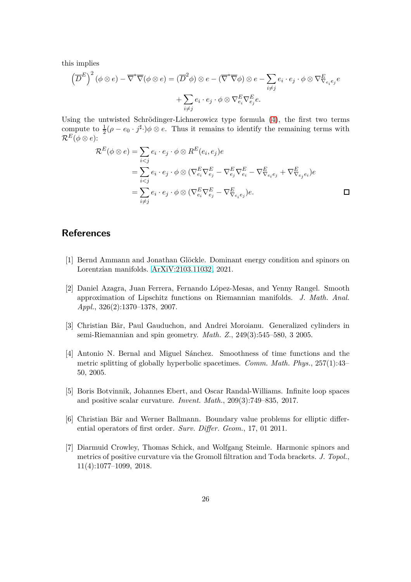this implies

$$
\left(\overline{D}^E\right)^2 (\phi \otimes e) - \overline{\nabla}^* \overline{\nabla} (\phi \otimes e) = (\overline{D}^2 \phi) \otimes e - (\overline{\nabla}^* \overline{\nabla} \phi) \otimes e - \sum_{i \neq j} e_i \cdot e_j \cdot \phi \otimes \nabla^E_{\overline{\nabla} e_i} e_j e
$$

$$
+ \sum_{i \neq j} e_i \cdot e_j \cdot \phi \otimes \nabla^E_{e_i} \nabla^E_{e_j} e.
$$

Using the untwisted Schrödinger-Lichnerowicz type formula [\(4\)](#page-6-0), the first two terms compute to  $\frac{1}{2}(\rho - e_0 \cdot j^{\sharp})\phi \otimes e$ . Thus it remains to identify the remaining terms with  $\mathcal{R}^E(\phi \otimes e)$ :

$$
\mathcal{R}^{E}(\phi \otimes e) = \sum_{i < j} e_i \cdot e_j \cdot \phi \otimes R^{E}(e_i, e_j)e
$$
\n
$$
= \sum_{i < j} e_i \cdot e_j \cdot \phi \otimes (\nabla_{e_i}^{E} \nabla_{e_j}^{E} - \nabla_{e_j}^{E} \nabla_{e_i}^{E} - \nabla_{\nabla_{e_i}e_j}^{E} + \nabla_{\nabla_{e_j}e_i}^{E})e
$$
\n
$$
= \sum_{i \neq j} e_i \cdot e_j \cdot \phi \otimes (\nabla_{e_i}^{E} \nabla_{e_j}^{E} - \nabla_{\nabla_{e_i}e_j}^{E})e.
$$

#### <span id="page-25-3"></span>**References**

- <span id="page-25-5"></span>[1] Bernd Ammann and Jonathan Glöckle. Dominant energy condition and spinors on Lorentzian manifolds. [ArXiV:2103.11032,](https://arxiv.org/abs/2103.11032) 2021.
- <span id="page-25-4"></span>[2] Daniel Azagra, Juan Ferrera, Fernando López-Mesas, and Yenny Rangel. Smooth approximation of Lipschitz functions on Riemannian manifolds. *J. Math. Anal. Appl.*, 326(2):1370–1378, 2007.
- <span id="page-25-2"></span>[3] Christian Bär, Paul Gauduchon, and Andrei Moroianu. Generalized cylinders in semi-Riemannian and spin geometry. *Math. Z.*, 249(3):545–580, 3 2005.
- [4] Antonio N. Bernal and Miguel Sánchez. Smoothness of time functions and the metric splitting of globally hyperbolic spacetimes. *Comm. Math. Phys.*, 257(1):43– 50, 2005.
- <span id="page-25-6"></span><span id="page-25-0"></span>[5] Boris Botvinnik, Johannes Ebert, and Oscar Randal-Williams. Infinite loop spaces and positive scalar curvature. *Invent. Math.*, 209(3):749–835, 2017.
- <span id="page-25-1"></span>[6] Christian Bär and Werner Ballmann. Boundary value problems for elliptic differential operators of first order. *Surv. Differ. Geom.*, 17, 01 2011.
- [7] Diarmuid Crowley, Thomas Schick, and Wolfgang Steimle. Harmonic spinors and metrics of positive curvature via the Gromoll filtration and Toda brackets. *J. Topol.*, 11(4):1077–1099, 2018.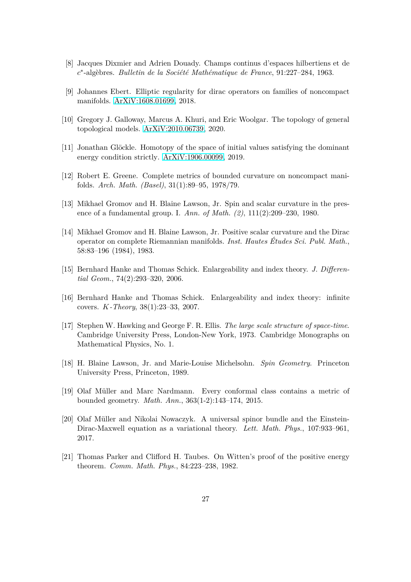- <span id="page-26-10"></span><span id="page-26-8"></span>[8] Jacques Dixmier and Adrien Douady. Champs continus d'espaces hilbertiens et de *c* ∗ -algèbres. *Bulletin de la Société Mathématique de France*, 91:227–284, 1963.
- <span id="page-26-5"></span>[9] Johannes Ebert. Elliptic regularity for dirac operators on families of noncompact manifolds. [ArXiV:1608.01699,](https://arxiv.org/abs/1608.01699) 2018.
- <span id="page-26-0"></span>[10] Gregory J. Galloway, Marcus A. Khuri, and Eric Woolgar. The topology of general topological models. [ArXiV:2010.06739,](https://arxiv.org/abs/2010.06739) 2020.
- <span id="page-26-11"></span>[11] Jonathan Glöckle. Homotopy of the space of initial values satisfying the dominant energy condition strictly. [ArXiV:1906.00099,](https://arxiv.org/abs/1906.00099) 2019.
- <span id="page-26-3"></span>[12] Robert E. Greene. Complete metrics of bounded curvature on noncompact manifolds. *Arch. Math. (Basel)*, 31(1):89–95, 1978/79.
- <span id="page-26-4"></span>[13] Mikhael Gromov and H. Blaine Lawson, Jr. Spin and scalar curvature in the presence of a fundamental group. I. *Ann. of Math.* (2), 111(2):209–230, 1980.
- [14] Mikhael Gromov and H. Blaine Lawson, Jr. Positive scalar curvature and the Dirac operator on complete Riemannian manifolds. *Inst. Hautes Études Sci. Publ. Math.*, 58:83–196 (1984), 1983.
- <span id="page-26-7"></span><span id="page-26-6"></span>[15] Bernhard Hanke and Thomas Schick. Enlargeability and index theory. *J. Differential Geom.*, 74(2):293–320, 2006.
- <span id="page-26-1"></span>[16] Bernhard Hanke and Thomas Schick. Enlargeability and index theory: infinite covers. *K-Theory*, 38(1):23–33, 2007.
- <span id="page-26-13"></span>[17] Stephen W. Hawking and George F. R. Ellis. *The large scale structure of space-time*. Cambridge University Press, London-New York, 1973. Cambridge Monographs on Mathematical Physics, No. 1.
- <span id="page-26-12"></span>[18] H. Blaine Lawson, Jr. and Marie-Louise Michelsohn. *Spin Geometry*. Princeton University Press, Princeton, 1989.
- <span id="page-26-9"></span>[19] Olaf Müller and Marc Nardmann. Every conformal class contains a metric of bounded geometry. *Math. Ann.*, 363(1-2):143–174, 2015.
- <span id="page-26-2"></span>[20] Olaf Müller and Nikolai Nowaczyk. A universal spinor bundle and the Einstein-Dirac-Maxwell equation as a variational theory. *Lett. Math. Phys.*, 107:933–961, 2017.
- [21] Thomas Parker and Clifford H. Taubes. On Witten's proof of the positive energy theorem. *Comm. Math. Phys.*, 84:223–238, 1982.